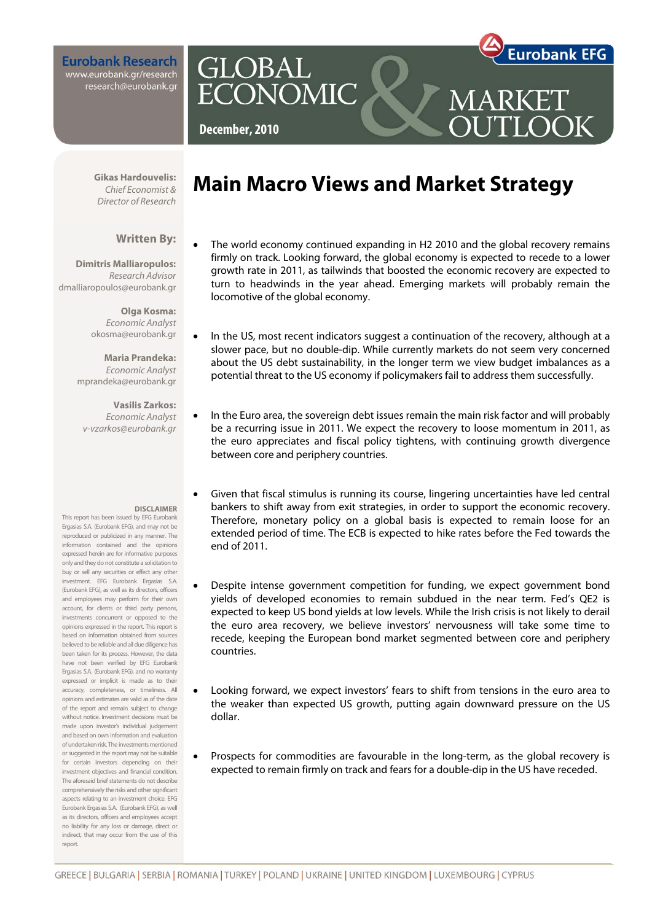**Eurobank Research** www.eurobank.gr/research research@eurobank.gr



OOK

**December, 2010** 

**GLOBAL** 

**ECONOMIC** 

**Gikas Hardouvelis:**  Chief Economist & Director of Research

### **Written By:**

**Dimitris Malliaropulos:**  Research Advisor dmalliaropoulos@eurobank.gr

> **Olga Kosma:**  Economic Analyst okosma@eurobank.gr

**Maria Prandeka:**  Economic Analyst mprandeka@eurobank.gr

**Vasilis Zarkos:**  Economic Analyst v-vzarkos@eurobank.gr

#### **DISCLAIMER**

This report has been issued by EFG Eurobank Ergasias S.A. (Eurobank EFG), and may not be reproduced or publicized in any manner. The information contained and the opinions expressed herein are for informative purposes only and they do not constitute a solicitation to buy or sell any securities or effect any other investment. EFG Eurobank Ergasias S.A. (Eurobank EFG), as well as its directors, officers and employees may perform for their own account, for clients or third party persons, investments concurrent or opposed to the opinions expressed in the report. This report is based on information obtained from sources believed to be reliable and all due diligence has been taken for its process. However, the data have not been verified by EFG Eurobank Ergasias S.A. (Eurobank EFG), and no warranty expressed or implicit is made as to their accuracy, completeness, or timeliness. All opinions and estimates are valid as of the date of the report and remain subject to change without notice. Investment decisions must be made upon investor's individual judgement and based on own information and evaluation of undertaken risk. The investments mentioned or suggested in the report may not be suitable for certain investors depending on their investment objectives and financial condition. The aforesaid brief statements do not describe comprehensively the risks and other significant aspects relating to an investment choice. EFG Eurobank Ergasias S.A. (Eurobank EFG), as well as its directors, officers and employees accept no liability for any loss or damage, direct or indirect, that may occur from the use of this report.

# **Main Macro Views and Market Strategy**

- The world economy continued expanding in H2 2010 and the global recovery remains firmly on track. Looking forward, the global economy is expected to recede to a lower growth rate in 2011, as tailwinds that boosted the economic recovery are expected to turn to headwinds in the year ahead. Emerging markets will probably remain the locomotive of the global economy.
- In the US, most recent indicators suggest a continuation of the recovery, although at a slower pace, but no double-dip. While currently markets do not seem very concerned about the US debt sustainability, in the longer term we view budget imbalances as a potential threat to the US economy if policymakers fail to address them successfully.
- In the Euro area, the sovereign debt issues remain the main risk factor and will probably be a recurring issue in 2011. We expect the recovery to loose momentum in 2011, as the euro appreciates and fiscal policy tightens, with continuing growth divergence between core and periphery countries.
- Given that fiscal stimulus is running its course, lingering uncertainties have led central bankers to shift away from exit strategies, in order to support the economic recovery. Therefore, monetary policy on a global basis is expected to remain loose for an extended period of time. The ECB is expected to hike rates before the Fed towards the end of 2011.
- Despite intense government competition for funding, we expect government bond yields of developed economies to remain subdued in the near term. Fed's QE2 is expected to keep US bond yields at low levels. While the Irish crisis is not likely to derail the euro area recovery, we believe investors' nervousness will take some time to recede, keeping the European bond market segmented between core and periphery countries.
- Looking forward, we expect investors' fears to shift from tensions in the euro area to the weaker than expected US growth, putting again downward pressure on the US dollar.
- Prospects for commodities are favourable in the long-term, as the global recovery is expected to remain firmly on track and fears for a double-dip in the US have receded.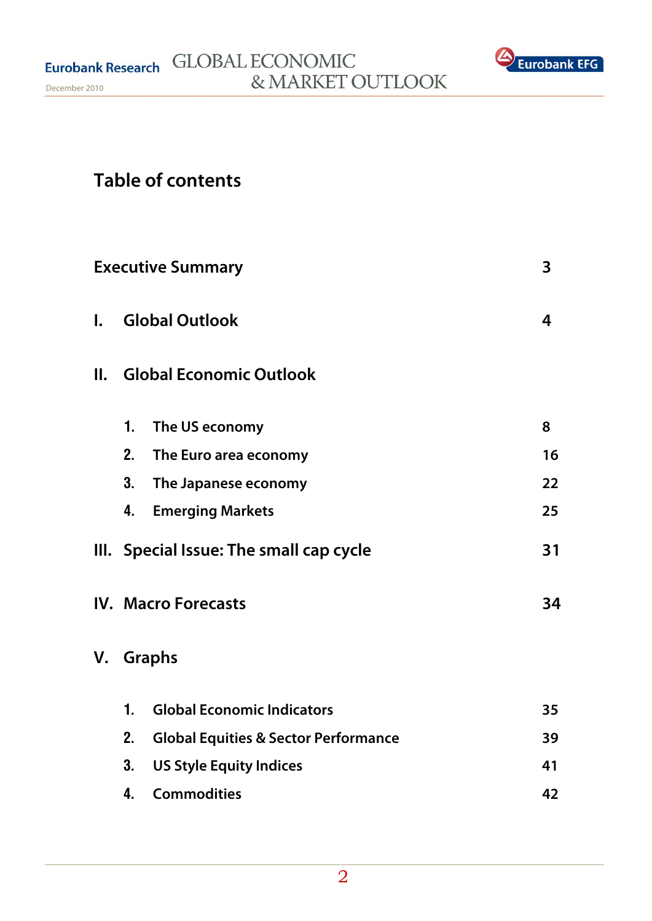

# **Table of contents**

|              |    | <b>Executive Summary</b>                        | 3  |
|--------------|----|-------------------------------------------------|----|
| $\mathbf{L}$ |    | <b>Global Outlook</b>                           | 4  |
| Ш.           |    | <b>Global Economic Outlook</b>                  |    |
|              | 1. | The US economy                                  | 8  |
|              | 2. | The Euro area economy                           | 16 |
|              | 3. | The Japanese economy                            | 22 |
|              | 4. | <b>Emerging Markets</b>                         | 25 |
|              |    | III. Special Issue: The small cap cycle         | 31 |
|              |    | <b>IV. Macro Forecasts</b>                      | 34 |
| V.           |    | <b>Graphs</b>                                   |    |
|              | 1. | <b>Global Economic Indicators</b>               | 35 |
|              | 2. | <b>Global Equities &amp; Sector Performance</b> | 39 |
|              | 3. | <b>US Style Equity Indices</b>                  | 41 |
|              | 4. | <b>Commodities</b>                              | 42 |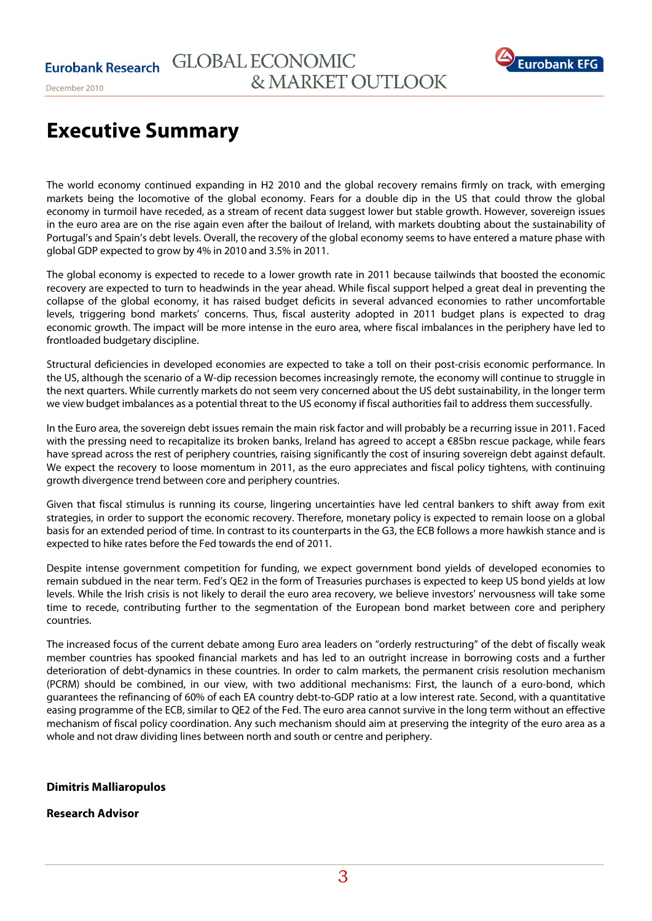

# **Executive Summary**

The world economy continued expanding in H2 2010 and the global recovery remains firmly on track, with emerging markets being the locomotive of the global economy. Fears for a double dip in the US that could throw the global economy in turmoil have receded, as a stream of recent data suggest lower but stable growth. However, sovereign issues in the euro area are on the rise again even after the bailout of Ireland, with markets doubting about the sustainability of Portugal's and Spain's debt levels. Overall, the recovery of the global economy seems to have entered a mature phase with global GDP expected to grow by 4% in 2010 and 3.5% in 2011.

The global economy is expected to recede to a lower growth rate in 2011 because tailwinds that boosted the economic recovery are expected to turn to headwinds in the year ahead. While fiscal support helped a great deal in preventing the collapse of the global economy, it has raised budget deficits in several advanced economies to rather uncomfortable levels, triggering bond markets' concerns. Thus, fiscal austerity adopted in 2011 budget plans is expected to drag economic growth. The impact will be more intense in the euro area, where fiscal imbalances in the periphery have led to frontloaded budgetary discipline.

Structural deficiencies in developed economies are expected to take a toll on their post-crisis economic performance. In the US, although the scenario of a W-dip recession becomes increasingly remote, the economy will continue to struggle in the next quarters. While currently markets do not seem very concerned about the US debt sustainability, in the longer term we view budget imbalances as a potential threat to the US economy if fiscal authorities fail to address them successfully.

In the Euro area, the sovereign debt issues remain the main risk factor and will probably be a recurring issue in 2011. Faced with the pressing need to recapitalize its broken banks, Ireland has agreed to accept a  $\epsilon$ 85bn rescue package, while fears have spread across the rest of periphery countries, raising significantly the cost of insuring sovereign debt against default. We expect the recovery to loose momentum in 2011, as the euro appreciates and fiscal policy tightens, with continuing growth divergence trend between core and periphery countries.

Given that fiscal stimulus is running its course, lingering uncertainties have led central bankers to shift away from exit strategies, in order to support the economic recovery. Therefore, monetary policy is expected to remain loose on a global basis for an extended period of time. In contrast to its counterparts in the G3, the ECB follows a more hawkish stance and is expected to hike rates before the Fed towards the end of 2011.

Despite intense government competition for funding, we expect government bond yields of developed economies to remain subdued in the near term. Fed's QE2 in the form of Treasuries purchases is expected to keep US bond yields at low levels. While the Irish crisis is not likely to derail the euro area recovery, we believe investors' nervousness will take some time to recede, contributing further to the segmentation of the European bond market between core and periphery countries.

The increased focus of the current debate among Euro area leaders on "orderly restructuring" of the debt of fiscally weak member countries has spooked financial markets and has led to an outright increase in borrowing costs and a further deterioration of debt-dynamics in these countries. In order to calm markets, the permanent crisis resolution mechanism (PCRM) should be combined, in our view, with two additional mechanisms: First, the launch of a euro-bond, which guarantees the refinancing of 60% of each EA country debt-to-GDP ratio at a low interest rate. Second, with a quantitative easing programme of the ECB, similar to QE2 of the Fed. The euro area cannot survive in the long term without an effective mechanism of fiscal policy coordination. Any such mechanism should aim at preserving the integrity of the euro area as a whole and not draw dividing lines between north and south or centre and periphery.

## **Dimitris Malliaropulos**

## **Research Advisor**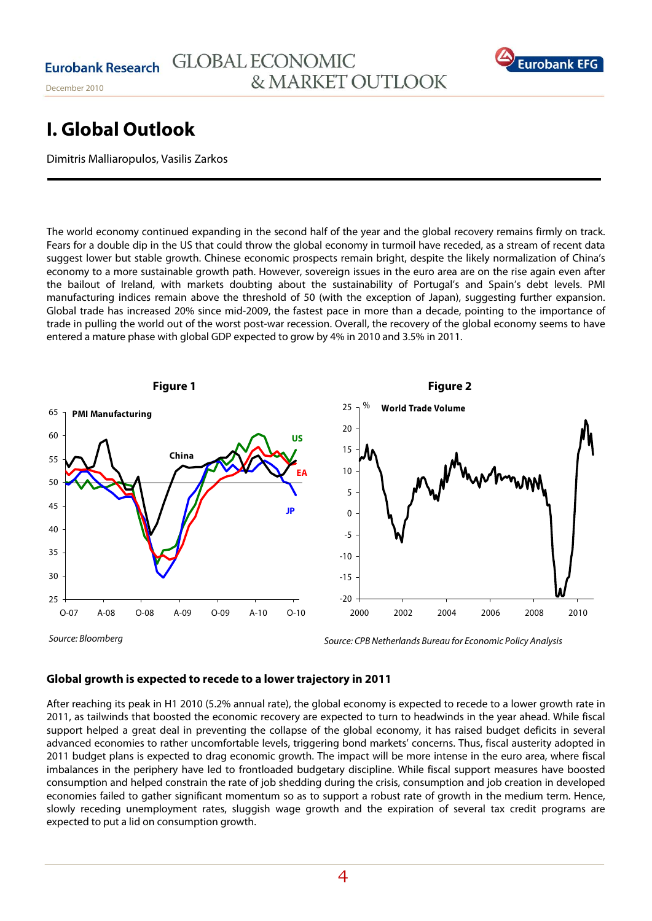

# **I. Global Outlook**

Dimitris Malliaropulos, Vasilis Zarkos

The world economy continued expanding in the second half of the year and the global recovery remains firmly on track. Fears for a double dip in the US that could throw the global economy in turmoil have receded, as a stream of recent data suggest lower but stable growth. Chinese economic prospects remain bright, despite the likely normalization of China's economy to a more sustainable growth path. However, sovereign issues in the euro area are on the rise again even after the bailout of Ireland, with markets doubting about the sustainability of Portugal's and Spain's debt levels. PMI manufacturing indices remain above the threshold of 50 (with the exception of Japan), suggesting further expansion. Global trade has increased 20% since mid-2009, the fastest pace in more than a decade, pointing to the importance of trade in pulling the world out of the worst post-war recession. Overall, the recovery of the global economy seems to have entered a mature phase with global GDP expected to grow by 4% in 2010 and 3.5% in 2011.



Source: Bloomberg

## **Global growth is expected to recede to a lower trajectory in 2011**

After reaching its peak in H1 2010 (5.2% annual rate), the global economy is expected to recede to a lower growth rate in 2011, as tailwinds that boosted the economic recovery are expected to turn to headwinds in the year ahead. While fiscal support helped a great deal in preventing the collapse of the global economy, it has raised budget deficits in several advanced economies to rather uncomfortable levels, triggering bond markets' concerns. Thus, fiscal austerity adopted in 2011 budget plans is expected to drag economic growth. The impact will be more intense in the euro area, where fiscal imbalances in the periphery have led to frontloaded budgetary discipline. While fiscal support measures have boosted consumption and helped constrain the rate of job shedding during the crisis, consumption and job creation in developed economies failed to gather significant momentum so as to support a robust rate of growth in the medium term. Hence, slowly receding unemployment rates, sluggish wage growth and the expiration of several tax credit programs are expected to put a lid on consumption growth.

Source: CPB Netherlands Bureau for Economic Policy Analysis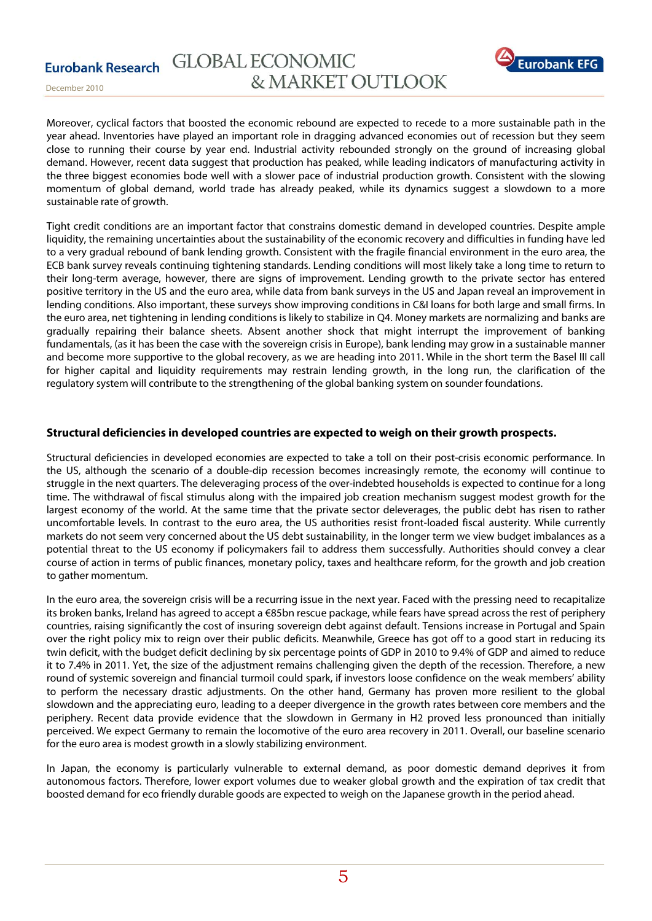**Eurobank Research** 



December 2010

Moreover, cyclical factors that boosted the economic rebound are expected to recede to a more sustainable path in the year ahead. Inventories have played an important role in dragging advanced economies out of recession but they seem close to running their course by year end. Industrial activity rebounded strongly on the ground of increasing global demand. However, recent data suggest that production has peaked, while leading indicators of manufacturing activity in the three biggest economies bode well with a slower pace of industrial production growth. Consistent with the slowing momentum of global demand, world trade has already peaked, while its dynamics suggest a slowdown to a more sustainable rate of growth.

Tight credit conditions are an important factor that constrains domestic demand in developed countries. Despite ample liquidity, the remaining uncertainties about the sustainability of the economic recovery and difficulties in funding have led to a very gradual rebound of bank lending growth. Consistent with the fragile financial environment in the euro area, the ECB bank survey reveals continuing tightening standards. Lending conditions will most likely take a long time to return to their long-term average, however, there are signs of improvement. Lending growth to the private sector has entered positive territory in the US and the euro area, while data from bank surveys in the US and Japan reveal an improvement in lending conditions. Also important, these surveys show improving conditions in C&I loans for both large and small firms. In the euro area, net tightening in lending conditions is likely to stabilize in Q4. Money markets are normalizing and banks are gradually repairing their balance sheets. Absent another shock that might interrupt the improvement of banking fundamentals, (as it has been the case with the sovereign crisis in Europe), bank lending may grow in a sustainable manner and become more supportive to the global recovery, as we are heading into 2011. While in the short term the Basel III call for higher capital and liquidity requirements may restrain lending growth, in the long run, the clarification of the regulatory system will contribute to the strengthening of the global banking system on sounder foundations.

# **Structural deficiencies in developed countries are expected to weigh on their growth prospects.**

Structural deficiencies in developed economies are expected to take a toll on their post-crisis economic performance. In the US, although the scenario of a double-dip recession becomes increasingly remote, the economy will continue to struggle in the next quarters. The deleveraging process of the over-indebted households is expected to continue for a long time. The withdrawal of fiscal stimulus along with the impaired job creation mechanism suggest modest growth for the largest economy of the world. At the same time that the private sector deleverages, the public debt has risen to rather uncomfortable levels. In contrast to the euro area, the US authorities resist front-loaded fiscal austerity. While currently markets do not seem very concerned about the US debt sustainability, in the longer term we view budget imbalances as a potential threat to the US economy if policymakers fail to address them successfully. Αuthorities should convey a clear course of action in terms of public finances, monetary policy, taxes and healthcare reform, for the growth and job creation to gather momentum.

In the euro area, the sovereign crisis will be a recurring issue in the next year. Faced with the pressing need to recapitalize its broken banks, Ireland has agreed to accept a €85bn rescue package, while fears have spread across the rest of periphery countries, raising significantly the cost of insuring sovereign debt against default. Tensions increase in Portugal and Spain over the right policy mix to reign over their public deficits. Meanwhile, Greece has got off to a good start in reducing its twin deficit, with the budget deficit declining by six percentage points of GDP in 2010 to 9.4% of GDP and aimed to reduce it to 7.4% in 2011. Yet, the size of the adjustment remains challenging given the depth of the recession. Therefore, a new round of systemic sovereign and financial turmoil could spark, if investors loose confidence on the weak members' ability to perform the necessary drastic adjustments. On the other hand, Germany has proven more resilient to the global slowdown and the appreciating euro, leading to a deeper divergence in the growth rates between core members and the periphery. Recent data provide evidence that the slowdown in Germany in H2 proved less pronounced than initially perceived. We expect Germany to remain the locomotive of the euro area recovery in 2011. Overall, our baseline scenario for the euro area is modest growth in a slowly stabilizing environment.

In Japan, the economy is particularly vulnerable to external demand, as poor domestic demand deprives it from autonomous factors. Therefore, lower export volumes due to weaker global growth and the expiration of tax credit that boosted demand for eco friendly durable goods are expected to weigh on the Japanese growth in the period ahead.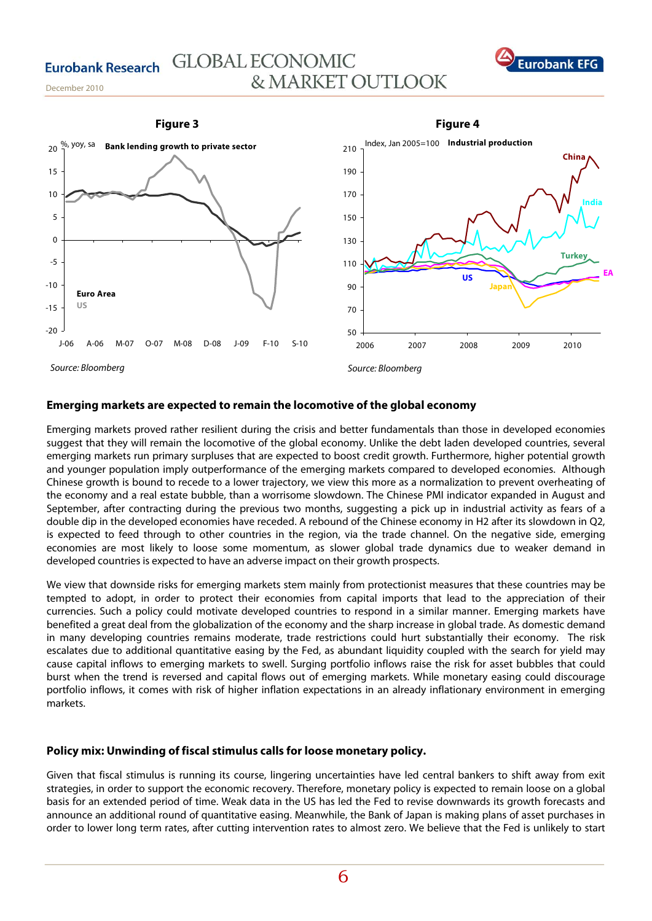



### **Emerging markets are expected to remain the locomotive of the global economy**

Emerging markets proved rather resilient during the crisis and better fundamentals than those in developed economies suggest that they will remain the locomotive of the global economy. Unlike the debt laden developed countries, several emerging markets run primary surpluses that are expected to boost credit growth. Furthermore, higher potential growth and younger population imply outperformance of the emerging markets compared to developed economies. Although Chinese growth is bound to recede to a lower trajectory, we view this more as a normalization to prevent overheating of the economy and a real estate bubble, than a worrisome slowdown. The Chinese PMI indicator expanded in August and September, after contracting during the previous two months, suggesting a pick up in industrial activity as fears of a double dip in the developed economies have receded. A rebound of the Chinese economy in H2 after its slowdown in Q2, is expected to feed through to other countries in the region, via the trade channel. On the negative side, emerging economies are most likely to loose some momentum, as slower global trade dynamics due to weaker demand in developed countries is expected to have an adverse impact on their growth prospects.

We view that downside risks for emerging markets stem mainly from protectionist measures that these countries may be tempted to adopt, in order to protect their economies from capital imports that lead to the appreciation of their currencies. Such a policy could motivate developed countries to respond in a similar manner. Emerging markets have benefited a great deal from the globalization of the economy and the sharp increase in global trade. As domestic demand in many developing countries remains moderate, trade restrictions could hurt substantially their economy. The risk escalates due to additional quantitative easing by the Fed, as abundant liquidity coupled with the search for yield may cause capital inflows to emerging markets to swell. Surging portfolio inflows raise the risk for asset bubbles that could burst when the trend is reversed and capital flows out of emerging markets. While monetary easing could discourage portfolio inflows, it comes with risk of higher inflation expectations in an already inflationary environment in emerging markets.

## **Policy mix: Unwinding of fiscal stimulus calls for loose monetary policy.**

Given that fiscal stimulus is running its course, lingering uncertainties have led central bankers to shift away from exit strategies, in order to support the economic recovery. Therefore, monetary policy is expected to remain loose on a global basis for an extended period of time. Weak data in the US has led the Fed to revise downwards its growth forecasts and announce an additional round of quantitative easing. Meanwhile, the Bank of Japan is making plans of asset purchases in order to lower long term rates, after cutting intervention rates to almost zero. We believe that the Fed is unlikely to start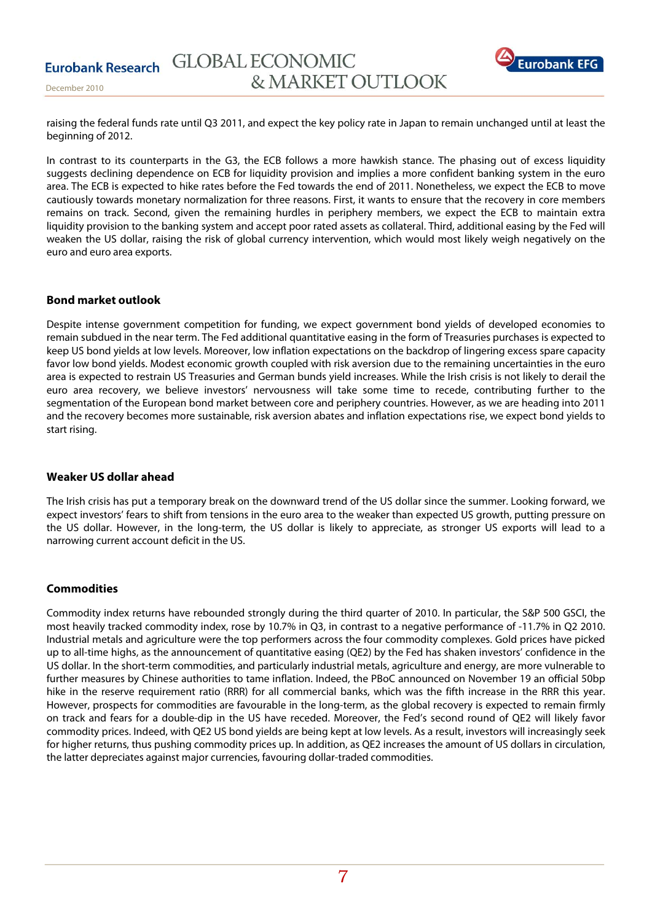

raising the federal funds rate until Q3 2011, and expect the key policy rate in Japan to remain unchanged until at least the beginning of 2012.

In contrast to its counterparts in the G3, the ECB follows a more hawkish stance. The phasing out of excess liquidity suggests declining dependence on ECB for liquidity provision and implies a more confident banking system in the euro area. The ECB is expected to hike rates before the Fed towards the end of 2011. Nonetheless, we expect the ECB to move cautiously towards monetary normalization for three reasons. First, it wants to ensure that the recovery in core members remains on track. Second, given the remaining hurdles in periphery members, we expect the ECB to maintain extra liquidity provision to the banking system and accept poor rated assets as collateral. Third, additional easing by the Fed will weaken the US dollar, raising the risk of global currency intervention, which would most likely weigh negatively on the euro and euro area exports.

## **Bond market outlook**

Despite intense government competition for funding, we expect government bond yields of developed economies to remain subdued in the near term. The Fed additional quantitative easing in the form of Treasuries purchases is expected to keep US bond yields at low levels. Moreover, low inflation expectations on the backdrop of lingering excess spare capacity favor low bond yields. Modest economic growth coupled with risk aversion due to the remaining uncertainties in the euro area is expected to restrain US Treasuries and German bunds yield increases. While the Irish crisis is not likely to derail the euro area recovery, we believe investors' nervousness will take some time to recede, contributing further to the segmentation of the European bond market between core and periphery countries. However, as we are heading into 2011 and the recovery becomes more sustainable, risk aversion abates and inflation expectations rise, we expect bond yields to start rising.

## **Weaker US dollar ahead**

The Irish crisis has put a temporary break on the downward trend of the US dollar since the summer. Looking forward, we expect investors' fears to shift from tensions in the euro area to the weaker than expected US growth, putting pressure on the US dollar. However, in the long-term, the US dollar is likely to appreciate, as stronger US exports will lead to a narrowing current account deficit in the US.

## **Commodities**

Commodity index returns have rebounded strongly during the third quarter of 2010. In particular, the S&P 500 GSCI, the most heavily tracked commodity index, rose by 10.7% in Q3, in contrast to a negative performance of -11.7% in Q2 2010. Industrial metals and agriculture were the top performers across the four commodity complexes. Gold prices have picked up to all-time highs, as the announcement of quantitative easing (QE2) by the Fed has shaken investors' confidence in the US dollar. In the short-term commodities, and particularly industrial metals, agriculture and energy, are more vulnerable to further measures by Chinese authorities to tame inflation. Indeed, the PBoC announced on November 19 an official 50bp hike in the reserve requirement ratio (RRR) for all commercial banks, which was the fifth increase in the RRR this year. However, prospects for commodities are favourable in the long-term, as the global recovery is expected to remain firmly on track and fears for a double-dip in the US have receded. Moreover, the Fed's second round of QE2 will likely favor commodity prices. Indeed, with QE2 US bond yields are being kept at low levels. As a result, investors will increasingly seek for higher returns, thus pushing commodity prices up. In addition, as QE2 increases the amount of US dollars in circulation, the latter depreciates against major currencies, favouring dollar-traded commodities.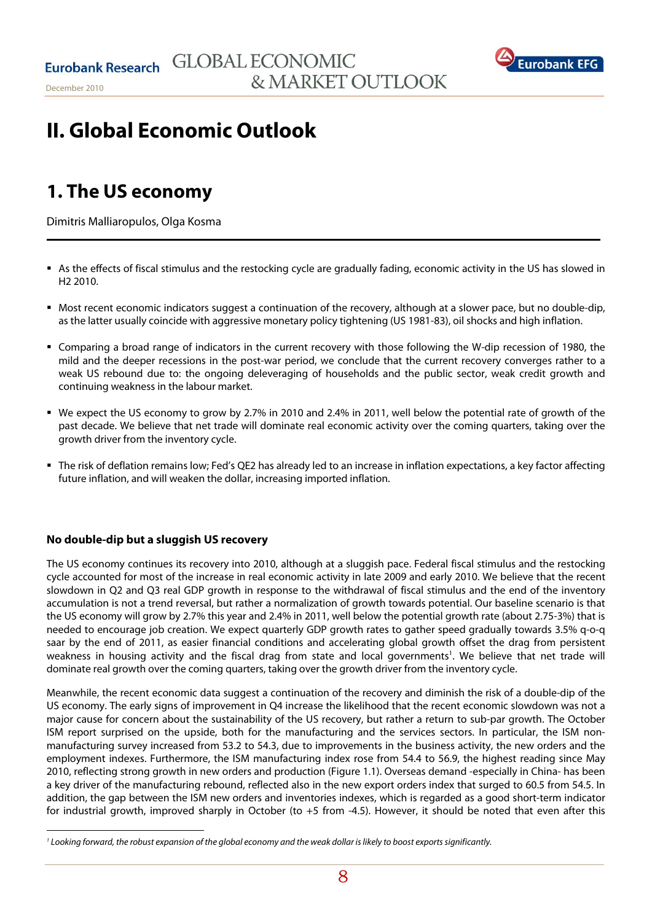

# **II. Global Economic Outlook**

# **1. The US economy**

December 2010

Dimitris Malliaropulos, Olga Kosma

- As the effects of fiscal stimulus and the restocking cycle are gradually fading, economic activity in the US has slowed in H2 2010.
- Most recent economic indicators suggest a continuation of the recovery, although at a slower pace, but no double-dip, as the latter usually coincide with aggressive monetary policy tightening (US 1981-83), oil shocks and high inflation.
- Comparing a broad range of indicators in the current recovery with those following the W-dip recession of 1980, the mild and the deeper recessions in the post-war period, we conclude that the current recovery converges rather to a weak US rebound due to: the ongoing deleveraging of households and the public sector, weak credit growth and continuing weakness in the labour market.
- We expect the US economy to grow by 2.7% in 2010 and 2.4% in 2011, well below the potential rate of growth of the past decade. We believe that net trade will dominate real economic activity over the coming quarters, taking over the growth driver from the inventory cycle.
- The risk of deflation remains low; Fed's QE2 has already led to an increase in inflation expectations, a key factor affecting future inflation, and will weaken the dollar, increasing imported inflation.

# **No double-dip but a sluggish US recovery**

The US economy continues its recovery into 2010, although at a sluggish pace. Federal fiscal stimulus and the restocking cycle accounted for most of the increase in real economic activity in late 2009 and early 2010. We believe that the recent slowdown in Q2 and Q3 real GDP growth in response to the withdrawal of fiscal stimulus and the end of the inventory accumulation is not a trend reversal, but rather a normalization of growth towards potential. Our baseline scenario is that the US economy will grow by 2.7% this year and 2.4% in 2011, well below the potential growth rate (about 2.75-3%) that is needed to encourage job creation. We expect quarterly GDP growth rates to gather speed gradually towards 3.5% q-o-q saar by the end of 2011, as easier financial conditions and accelerating global growth offset the drag from persistent weakness in housing activity and the fiscal drag from state and local governments<sup>1</sup>. We believe that net trade will dominate real growth over the coming quarters, taking over the growth driver from the inventory cycle.

Meanwhile, the recent economic data suggest a continuation of the recovery and diminish the risk of a double-dip of the US economy. The early signs of improvement in Q4 increase the likelihood that the recent economic slowdown was not a major cause for concern about the sustainability of the US recovery, but rather a return to sub-par growth. The October ISM report surprised on the upside, both for the manufacturing and the services sectors. In particular, the ISM nonmanufacturing survey increased from 53.2 to 54.3, due to improvements in the business activity, the new orders and the employment indexes. Furthermore, the ISM manufacturing index rose from 54.4 to 56.9, the highest reading since May 2010, reflecting strong growth in new orders and production (Figure 1.1). Overseas demand -especially in China- has been a key driver of the manufacturing rebound, reflected also in the new export orders index that surged to 60.5 from 54.5. In addition, the gap between the ISM new orders and inventories indexes, which is regarded as a good short-term indicator for industrial growth, improved sharply in October (to +5 from -4.5). However, it should be noted that even after this

<sup>1</sup> Looking forward, the robust expansion of the global economy and the weak dollar is likely to boost exports significantly.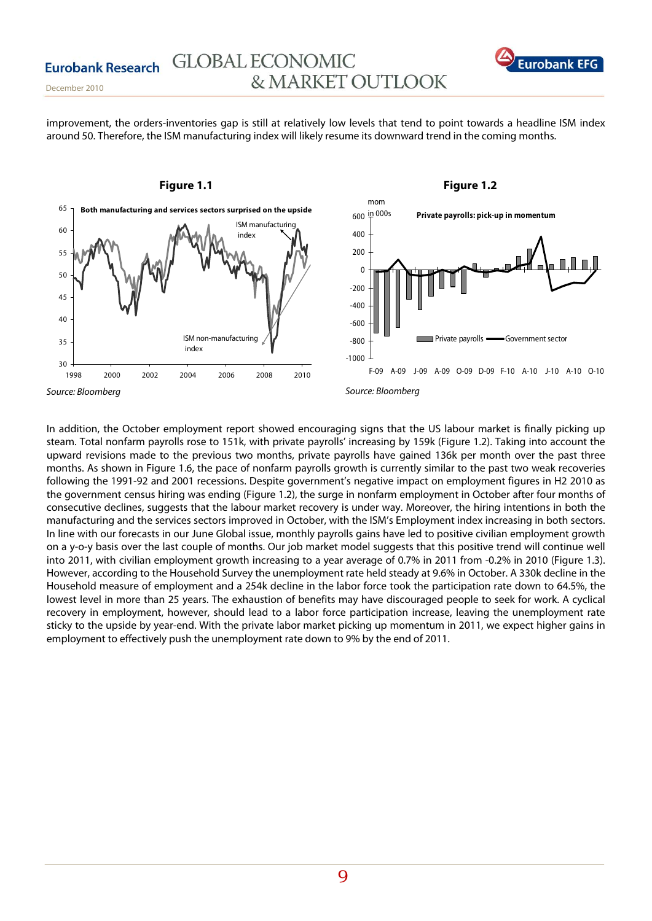

improvement, the orders-inventories gap is still at relatively low levels that tend to point towards a headline ISM index around 50. Therefore, the ISM manufacturing index will likely resume its downward trend in the coming months.



In addition, the October employment report showed encouraging signs that the US labour market is finally picking up steam. Total nonfarm payrolls rose to 151k, with private payrolls' increasing by 159k (Figure 1.2). Taking into account the upward revisions made to the previous two months, private payrolls have gained 136k per month over the past three months. As shown in Figure 1.6, the pace of nonfarm payrolls growth is currently similar to the past two weak recoveries following the 1991-92 and 2001 recessions. Despite government's negative impact on employment figures in H2 2010 as the government census hiring was ending (Figure 1.2), the surge in nonfarm employment in October after four months of consecutive declines, suggests that the labour market recovery is under way. Moreover, the hiring intentions in both the manufacturing and the services sectors improved in October, with the ISM's Employment index increasing in both sectors. In line with our forecasts in our June Global issue, monthly payrolls gains have led to positive civilian employment growth on a y-o-y basis over the last couple of months. Our job market model suggests that this positive trend will continue well into 2011, with civilian employment growth increasing to a year average of 0.7% in 2011 from -0.2% in 2010 (Figure 1.3). However, according to the Household Survey the unemployment rate held steady at 9.6% in October. A 330k decline in the Household measure of employment and a 254k decline in the labor force took the participation rate down to 64.5%, the lowest level in more than 25 years. The exhaustion of benefits may have discouraged people to seek for work. A cyclical recovery in employment, however, should lead to a labor force participation increase, leaving the unemployment rate sticky to the upside by year-end. With the private labor market picking up momentum in 2011, we expect higher gains in employment to effectively push the unemployment rate down to 9% by the end of 2011.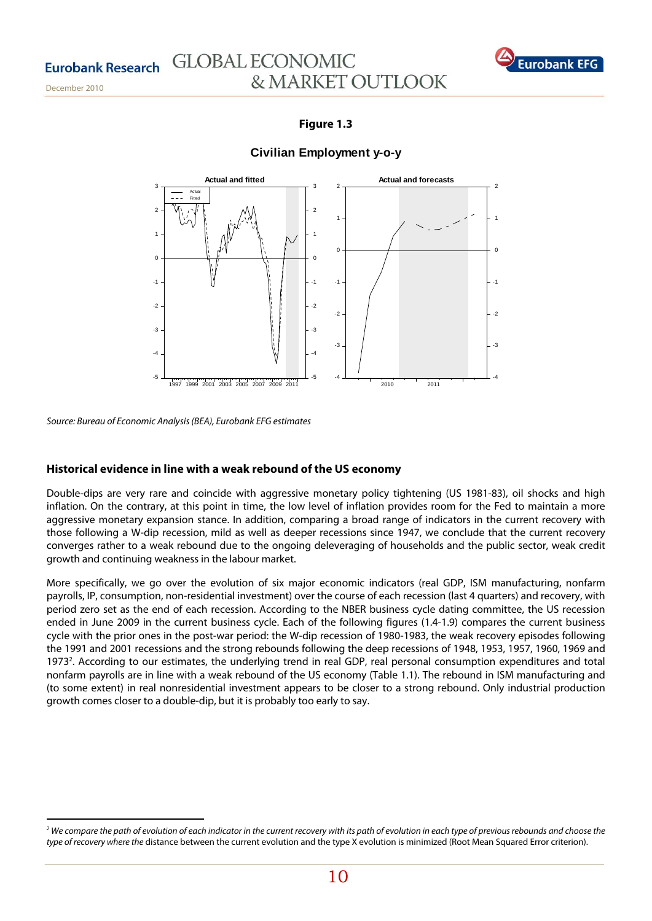December 2010

# **GLOBAL ECONOMIC** & MARKET OUTLOOK



# **Figure 1.3**

# **Civilian Employment y-o-y**



Source: Bureau of Economic Analysis (BEA), Eurobank EFG estimates

## **Historical evidence in line with a weak rebound of the US economy**

Double-dips are very rare and coincide with aggressive monetary policy tightening (US 1981-83), oil shocks and high inflation. On the contrary, at this point in time, the low level of inflation provides room for the Fed to maintain a more aggressive monetary expansion stance. In addition, comparing a broad range of indicators in the current recovery with those following a W-dip recession, mild as well as deeper recessions since 1947, we conclude that the current recovery converges rather to a weak rebound due to the ongoing deleveraging of households and the public sector, weak credit growth and continuing weakness in the labour market.

More specifically, we go over the evolution of six major economic indicators (real GDP, ISM manufacturing, nonfarm payrolls, IP, consumption, non-residential investment) over the course of each recession (last 4 quarters) and recovery, with period zero set as the end of each recession. According to the NBER business cycle dating committee, the US recession ended in June 2009 in the current business cycle. Each of the following figures (1.4-1.9) compares the current business cycle with the prior ones in the post-war period: the W-dip recession of 1980-1983, the weak recovery episodes following the 1991 and 2001 recessions and the strong rebounds following the deep recessions of 1948, 1953, 1957, 1960, 1969 and 19732 . According to our estimates, the underlying trend in real GDP, real personal consumption expenditures and total nonfarm payrolls are in line with a weak rebound of the US economy (Table 1.1). The rebound in ISM manufacturing and (to some extent) in real nonresidential investment appears to be closer to a strong rebound. Only industrial production growth comes closer to a double-dip, but it is probably too early to say.

<sup>&</sup>lt;sup>2</sup> We compare the path of evolution of each indicator in the current recovery with its path of evolution in each type of previous rebounds and choose the type of recovery where the distance between the current evolution and the type X evolution is minimized (Root Mean Squared Error criterion).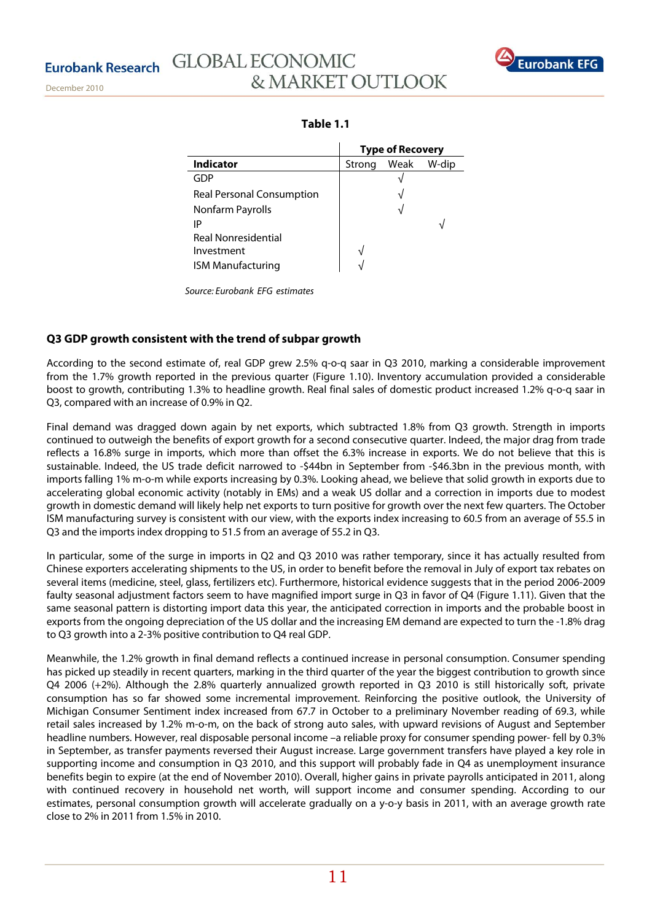

|                                  | <b>Type of Recovery</b> |      |       |
|----------------------------------|-------------------------|------|-------|
| <b>Indicator</b>                 | Strong                  | Weak | W-dip |
| GDP                              |                         |      |       |
| <b>Real Personal Consumption</b> |                         | V    |       |
| Nonfarm Payrolls                 |                         |      |       |
| IP                               |                         |      |       |
| <b>Real Nonresidential</b>       |                         |      |       |
| Investment                       |                         |      |       |
| <b>ISM Manufacturing</b>         |                         |      |       |

Source: Eurobank EFG estimates

# **Q3 GDP growth consistent with the trend of subpar growth**

According to the second estimate of, real GDP grew 2.5% q-o-q saar in Q3 2010, marking a considerable improvement from the 1.7% growth reported in the previous quarter (Figure 1.10). Inventory accumulation provided a considerable boost to growth, contributing 1.3% to headline growth. Real final sales of domestic product increased 1.2% q-o-q saar in Q3, compared with an increase of 0.9% in Q2.

Final demand was dragged down again by net exports, which subtracted 1.8% from Q3 growth. Strength in imports continued to outweigh the benefits of export growth for a second consecutive quarter. Indeed, the major drag from trade reflects a 16.8% surge in imports, which more than offset the 6.3% increase in exports. We do not believe that this is sustainable. Indeed, the US trade deficit narrowed to -\$44bn in September from -\$46.3bn in the previous month, with imports falling 1% m-o-m while exports increasing by 0.3%. Looking ahead, we believe that solid growth in exports due to accelerating global economic activity (notably in EMs) and a weak US dollar and a correction in imports due to modest growth in domestic demand will likely help net exports to turn positive for growth over the next few quarters. The October ISM manufacturing survey is consistent with our view, with the exports index increasing to 60.5 from an average of 55.5 in Q3 and the imports index dropping to 51.5 from an average of 55.2 in Q3.

In particular, some of the surge in imports in Q2 and Q3 2010 was rather temporary, since it has actually resulted from Chinese exporters accelerating shipments to the US, in order to benefit before the removal in July of export tax rebates on several items (medicine, steel, glass, fertilizers etc). Furthermore, historical evidence suggests that in the period 2006-2009 faulty seasonal adjustment factors seem to have magnified import surge in O3 in favor of O4 (Figure 1.11). Given that the same seasonal pattern is distorting import data this year, the anticipated correction in imports and the probable boost in exports from the ongoing depreciation of the US dollar and the increasing EM demand are expected to turn the -1.8% drag to Q3 growth into a 2-3% positive contribution to Q4 real GDP.

Meanwhile, the 1.2% growth in final demand reflects a continued increase in personal consumption. Consumer spending has picked up steadily in recent quarters, marking in the third quarter of the year the biggest contribution to growth since Q4 2006 (+2%). Although the 2.8% quarterly annualized growth reported in Q3 2010 is still historically soft, private consumption has so far showed some incremental improvement. Reinforcing the positive outlook, the University of Michigan Consumer Sentiment index increased from 67.7 in October to a preliminary November reading of 69.3, while retail sales increased by 1.2% m-o-m, on the back of strong auto sales, with upward revisions of August and September headline numbers. However, real disposable personal income –a reliable proxy for consumer spending power- fell by 0.3% in September, as transfer payments reversed their August increase. Large government transfers have played a key role in supporting income and consumption in Q3 2010, and this support will probably fade in Q4 as unemployment insurance benefits begin to expire (at the end of November 2010). Overall, higher gains in private payrolls anticipated in 2011, along with continued recovery in household net worth, will support income and consumer spending. According to our estimates, personal consumption growth will accelerate gradually on a y-o-y basis in 2011, with an average growth rate close to 2% in 2011 from 1.5% in 2010.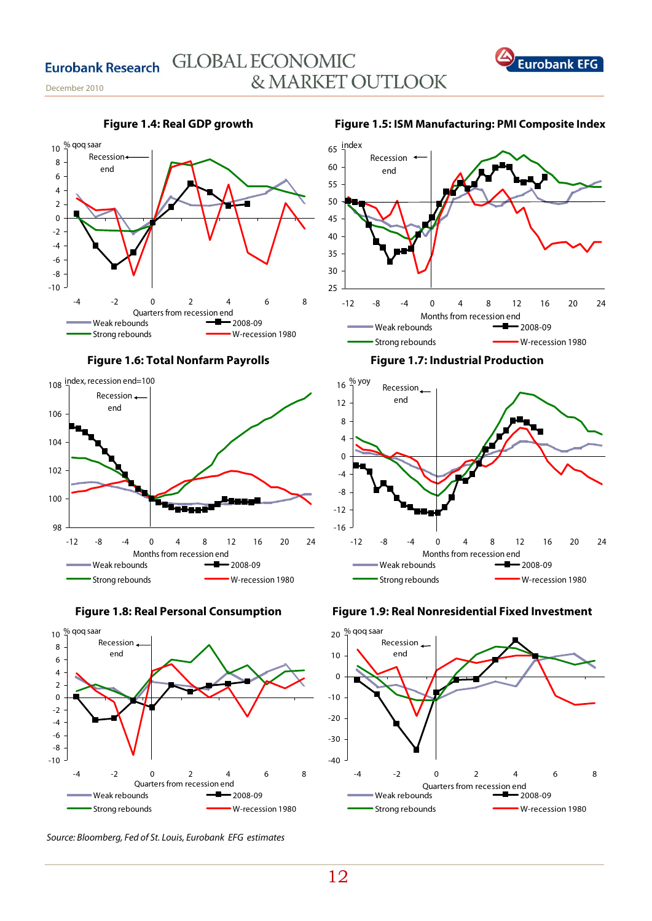















Source: Bloomberg, Fed of St. Louis, Eurobank EFG estimates

25 30 35 40 45 50 55 60 65 -12 -8 -4 0 4 8 12 16 20 24 Weak rebounds **-B** 2008-09 Strong rebounds **W**-recession 1980 Recession end index Months from recession end

**Figure 1.7: Industrial Production** 







# **Figure 1.5: ISM Manufacturing: PMI Composite Index**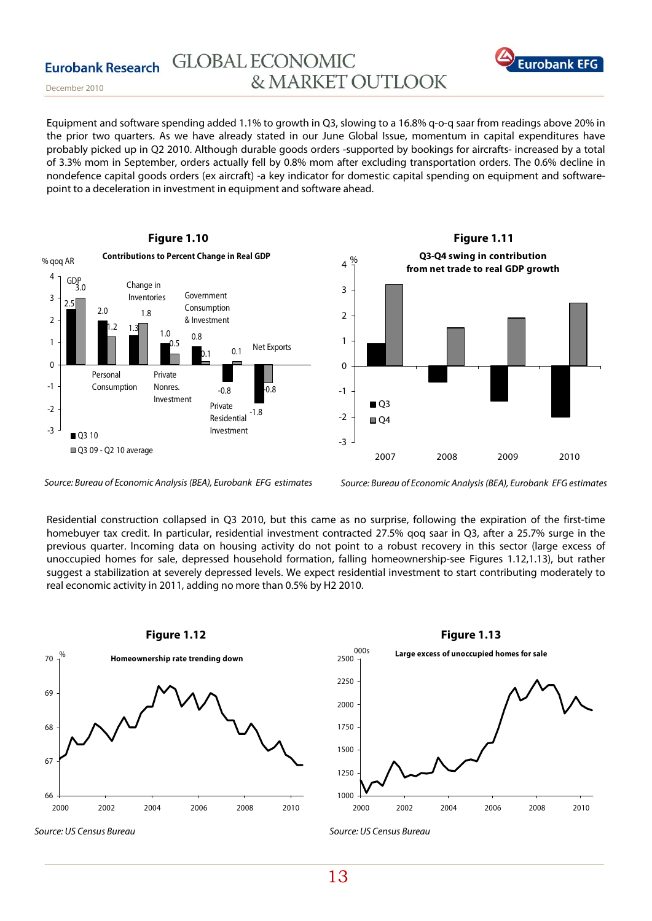

December 2010

Equipment and software spending added 1.1% to growth in Q3, slowing to a 16.8% q-o-q saar from readings above 20% in the prior two quarters. As we have already stated in our June Global Issue, momentum in capital expenditures have probably picked up in Q2 2010. Although durable goods orders -supported by bookings for aircrafts- increased by a total of 3.3% mom in September, orders actually fell by 0.8% mom after excluding transportation orders. The 0.6% decline in nondefence capital goods orders (ex aircraft) -a key indicator for domestic capital spending on equipment and softwarepoint to a deceleration in investment in equipment and software ahead.





Source: Bureau of Economic Analysis (BEA), Eurobank EFG estimates

Source: Bureau of Economic Analysis (BEA), Eurobank EFG estimates

Residential construction collapsed in Q3 2010, but this came as no surprise, following the expiration of the first-time homebuyer tax credit. In particular, residential investment contracted 27.5% qoq saar in Q3, after a 25.7% surge in the previous quarter. Incoming data on housing activity do not point to a robust recovery in this sector (large excess of unoccupied homes for sale, depressed household formation, falling homeownership-see Figures 1.12,1.13), but rather suggest a stabilization at severely depressed levels. We expect residential investment to start contributing moderately to real economic activity in 2011, adding no more than 0.5% by H2 2010.



Source: US Census Bureau



Source: US Census Bureau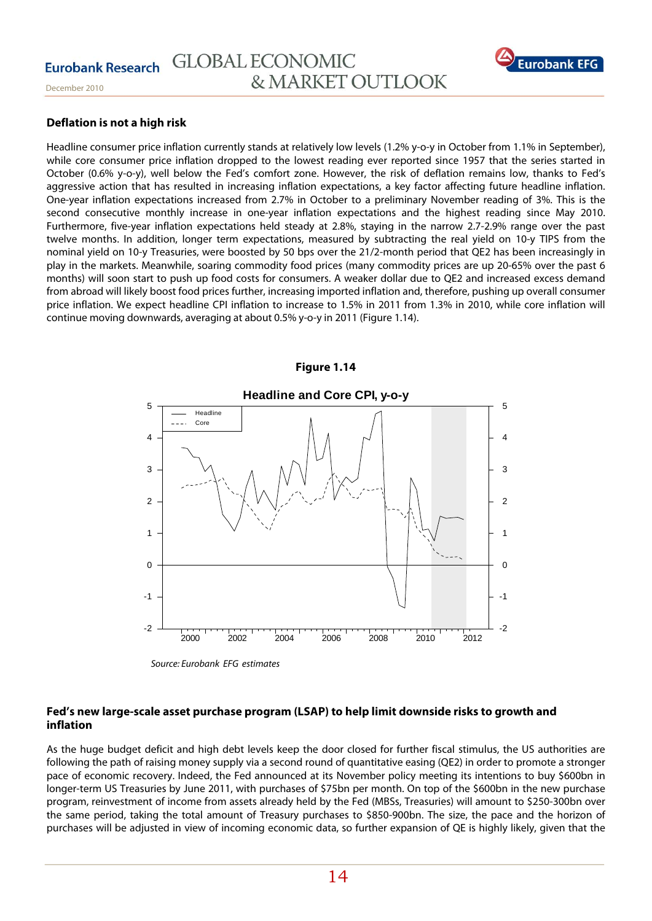

## **Deflation is not a high risk**

Headline consumer price inflation currently stands at relatively low levels (1.2% y-o-y in October from 1.1% in September), while core consumer price inflation dropped to the lowest reading ever reported since 1957 that the series started in October (0.6% y-o-y), well below the Fed's comfort zone. However, the risk of deflation remains low, thanks to Fed's aggressive action that has resulted in increasing inflation expectations, a key factor affecting future headline inflation. One-year inflation expectations increased from 2.7% in October to a preliminary November reading of 3%. This is the second consecutive monthly increase in one-year inflation expectations and the highest reading since May 2010. Furthermore, five-year inflation expectations held steady at 2.8%, staying in the narrow 2.7-2.9% range over the past twelve months. In addition, longer term expectations, measured by subtracting the real yield on 10-y TIPS from the nominal yield on 10-y Treasuries, were boosted by 50 bps over the 21/2-month period that QE2 has been increasingly in play in the markets. Meanwhile, soaring commodity food prices (many commodity prices are up 20-65% over the past 6 months) will soon start to push up food costs for consumers. A weaker dollar due to QE2 and increased excess demand from abroad will likely boost food prices further, increasing imported inflation and, therefore, pushing up overall consumer price inflation. We expect headline CPI inflation to increase to 1.5% in 2011 from 1.3% in 2010, while core inflation will continue moving downwards, averaging at about 0.5% y-o-y in 2011 (Figure 1.14).



## **Figure 1.14**

Source: Eurobank EFG estimates

## **Fed's new large-scale asset purchase program (LSAP) to help limit downside risks to growth and inflation**

As the huge budget deficit and high debt levels keep the door closed for further fiscal stimulus, the US authorities are following the path of raising money supply via a second round of quantitative easing (QE2) in order to promote a stronger pace of economic recovery. Indeed, the Fed announced at its November policy meeting its intentions to buy \$600bn in longer-term US Treasuries by June 2011, with purchases of \$75bn per month. On top of the \$600bn in the new purchase program, reinvestment of income from assets already held by the Fed (MBSs, Treasuries) will amount to \$250-300bn over the same period, taking the total amount of Treasury purchases to \$850-900bn. The size, the pace and the horizon of purchases will be adjusted in view of incoming economic data, so further expansion of QE is highly likely, given that the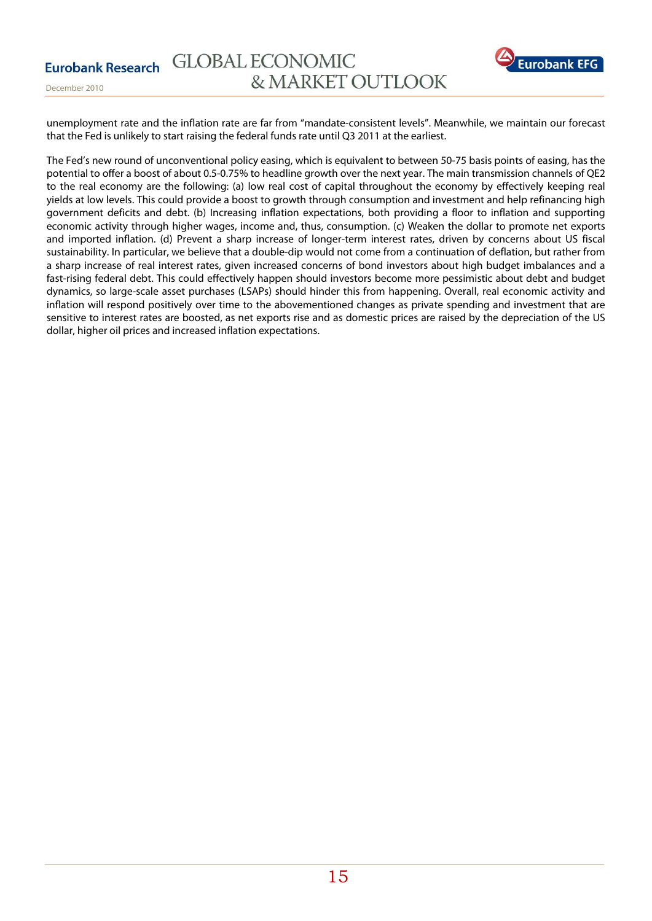

unemployment rate and the inflation rate are far from "mandate-consistent levels". Meanwhile, we maintain our forecast that the Fed is unlikely to start raising the federal funds rate until Q3 2011 at the earliest.

The Fed's new round of unconventional policy easing, which is equivalent to between 50-75 basis points of easing, has the potential to offer a boost of about 0.5-0.75% to headline growth over the next year. The main transmission channels of QE2 to the real economy are the following: (a) low real cost of capital throughout the economy by effectively keeping real yields at low levels. This could provide a boost to growth through consumption and investment and help refinancing high government deficits and debt. (b) Increasing inflation expectations, both providing a floor to inflation and supporting economic activity through higher wages, income and, thus, consumption. (c) Weaken the dollar to promote net exports and imported inflation. (d) Prevent a sharp increase of longer-term interest rates, driven by concerns about US fiscal sustainability. In particular, we believe that a double-dip would not come from a continuation of deflation, but rather from a sharp increase of real interest rates, given increased concerns of bond investors about high budget imbalances and a fast-rising federal debt. This could effectively happen should investors become more pessimistic about debt and budget dynamics, so large-scale asset purchases (LSAPs) should hinder this from happening. Overall, real economic activity and inflation will respond positively over time to the abovementioned changes as private spending and investment that are sensitive to interest rates are boosted, as net exports rise and as domestic prices are raised by the depreciation of the US dollar, higher oil prices and increased inflation expectations.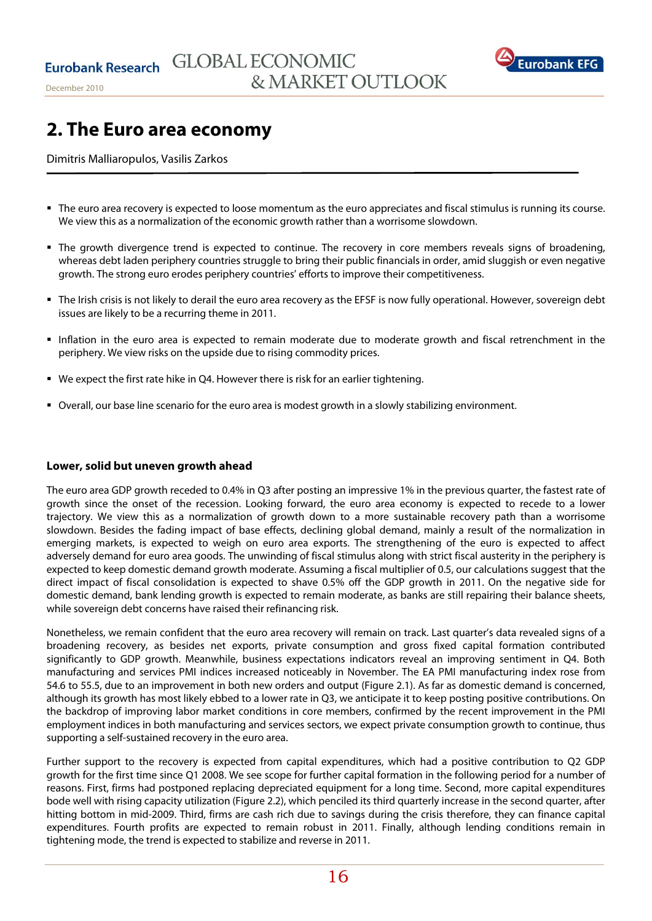

December 2010

# **2. The Euro area economy**

Dimitris Malliaropulos, Vasilis Zarkos

- The euro area recovery is expected to loose momentum as the euro appreciates and fiscal stimulus is running its course. We view this as a normalization of the economic growth rather than a worrisome slowdown.
- The growth divergence trend is expected to continue. The recovery in core members reveals signs of broadening, whereas debt laden periphery countries struggle to bring their public financials in order, amid sluggish or even negative growth. The strong euro erodes periphery countries' efforts to improve their competitiveness.
- The Irish crisis is not likely to derail the euro area recovery as the EFSF is now fully operational. However, sovereign debt issues are likely to be a recurring theme in 2011.
- Inflation in the euro area is expected to remain moderate due to moderate growth and fiscal retrenchment in the periphery. We view risks on the upside due to rising commodity prices.
- We expect the first rate hike in Q4. However there is risk for an earlier tightening.
- Overall, our base line scenario for the euro area is modest growth in a slowly stabilizing environment.

### **Lower, solid but uneven growth ahead**

The euro area GDP growth receded to 0.4% in Q3 after posting an impressive 1% in the previous quarter, the fastest rate of growth since the onset of the recession. Looking forward, the euro area economy is expected to recede to a lower trajectory. We view this as a normalization of growth down to a more sustainable recovery path than a worrisome slowdown. Besides the fading impact of base effects, declining global demand, mainly a result of the normalization in emerging markets, is expected to weigh on euro area exports. The strengthening of the euro is expected to affect adversely demand for euro area goods. The unwinding of fiscal stimulus along with strict fiscal austerity in the periphery is expected to keep domestic demand growth moderate. Assuming a fiscal multiplier of 0.5, our calculations suggest that the direct impact of fiscal consolidation is expected to shave 0.5% off the GDP growth in 2011. On the negative side for domestic demand, bank lending growth is expected to remain moderate, as banks are still repairing their balance sheets, while sovereign debt concerns have raised their refinancing risk.

Nonetheless, we remain confident that the euro area recovery will remain on track. Last quarter's data revealed signs of a broadening recovery, as besides net exports, private consumption and gross fixed capital formation contributed significantly to GDP growth. Meanwhile, business expectations indicators reveal an improving sentiment in Q4. Both manufacturing and services PMI indices increased noticeably in November. The EA PMI manufacturing index rose from 54.6 to 55.5, due to an improvement in both new orders and output (Figure 2.1). As far as domestic demand is concerned, although its growth has most likely ebbed to a lower rate in Q3, we anticipate it to keep posting positive contributions. On the backdrop of improving labor market conditions in core members, confirmed by the recent improvement in the PMI employment indices in both manufacturing and services sectors, we expect private consumption growth to continue, thus supporting a self-sustained recovery in the euro area.

Further support to the recovery is expected from capital expenditures, which had a positive contribution to Q2 GDP growth for the first time since Q1 2008. We see scope for further capital formation in the following period for a number of reasons. First, firms had postponed replacing depreciated equipment for a long time. Second, more capital expenditures bode well with rising capacity utilization (Figure 2.2), which penciled its third quarterly increase in the second quarter, after hitting bottom in mid-2009. Third, firms are cash rich due to savings during the crisis therefore, they can finance capital expenditures. Fourth profits are expected to remain robust in 2011. Finally, although lending conditions remain in tightening mode, the trend is expected to stabilize and reverse in 2011.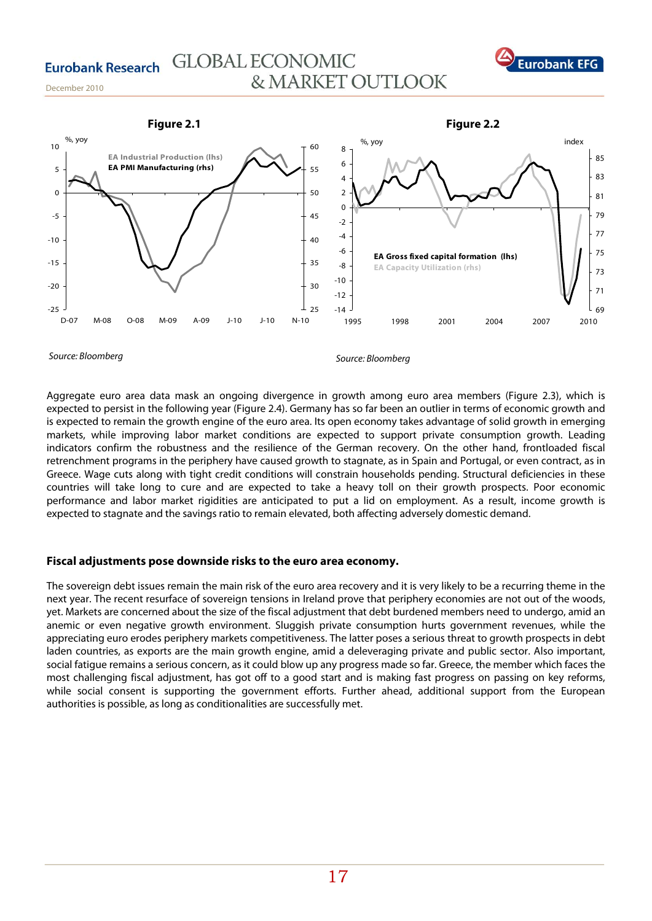



Source: Bloomberg

Aggregate euro area data mask an ongoing divergence in growth among euro area members (Figure 2.3), which is expected to persist in the following year (Figure 2.4). Germany has so far been an outlier in terms of economic growth and is expected to remain the growth engine of the euro area. Its open economy takes advantage of solid growth in emerging markets, while improving labor market conditions are expected to support private consumption growth. Leading indicators confirm the robustness and the resilience of the German recovery. On the other hand, frontloaded fiscal retrenchment programs in the periphery have caused growth to stagnate, as in Spain and Portugal, or even contract, as in Greece. Wage cuts along with tight credit conditions will constrain households pending. Structural deficiencies in these countries will take long to cure and are expected to take a heavy toll on their growth prospects. Poor economic performance and labor market rigidities are anticipated to put a lid on employment. As a result, income growth is expected to stagnate and the savings ratio to remain elevated, both affecting adversely domestic demand.

## **Fiscal adjustments pose downside risks to the euro area economy.**

The sovereign debt issues remain the main risk of the euro area recovery and it is very likely to be a recurring theme in the next year. The recent resurface of sovereign tensions in Ireland prove that periphery economies are not out of the woods, yet. Markets are concerned about the size of the fiscal adjustment that debt burdened members need to undergo, amid an anemic or even negative growth environment. Sluggish private consumption hurts government revenues, while the appreciating euro erodes periphery markets competitiveness. The latter poses a serious threat to growth prospects in debt laden countries, as exports are the main growth engine, amid a deleveraging private and public sector. Also important, social fatigue remains a serious concern, as it could blow up any progress made so far. Greece, the member which faces the most challenging fiscal adjustment, has got off to a good start and is making fast progress on passing on key reforms, while social consent is supporting the government efforts. Further ahead, additional support from the European authorities is possible, as long as conditionalities are successfully met.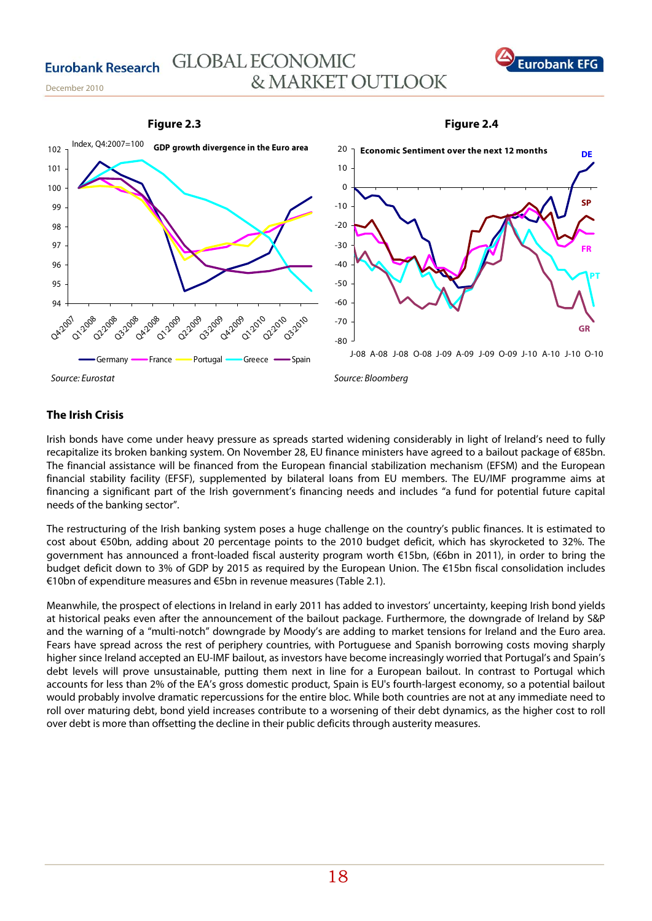

**Figure 2.4** 

### **Figure 2.3**



# **The Irish Crisis**

Irish bonds have come under heavy pressure as spreads started widening considerably in light of Ireland's need to fully recapitalize its broken banking system. On November 28, EU finance ministers have agreed to a bailout package of €85bn. The financial assistance will be financed from the European financial stabilization mechanism (EFSM) and the European financial stability facility (EFSF), supplemented by bilateral loans from EU members. The EU/IMF programme aims at financing a significant part of the Irish government's financing needs and includes "a fund for potential future capital needs of the banking sector".

The restructuring of the Irish banking system poses a huge challenge on the country's public finances. It is estimated to cost about €50bn, adding about 20 percentage points to the 2010 budget deficit, which has skyrocketed to 32%. The government has announced a front-loaded fiscal austerity program worth €15bn, (€6bn in 2011), in order to bring the budget deficit down to 3% of GDP by 2015 as required by the European Union. The €15bn fiscal consolidation includes €10bn of expenditure measures and €5bn in revenue measures (Table 2.1).

Meanwhile, the prospect of elections in Ireland in early 2011 has added to investors' uncertainty, keeping Irish bond yields at historical peaks even after the announcement of the bailout package. Furthermore, the downgrade of Ireland by S&P and the warning of a "multi-notch" downgrade by Moody's are adding to market tensions for Ireland and the Euro area. Fears have spread across the rest of periphery countries, with Portuguese and Spanish borrowing costs moving sharply higher since Ireland accepted an EU-IMF bailout, as investors have become increasingly worried that Portugal's and Spain's debt levels will prove unsustainable, putting them next in line for a European bailout. In contrast to Portugal which accounts for less than 2% of the EA's gross domestic product, Spain is EU's fourth-largest economy, so a potential bailout would probably involve dramatic repercussions for the entire bloc. While both countries are not at any immediate need to roll over maturing debt, bond yield increases contribute to a worsening of their debt dynamics, as the higher cost to roll over debt is more than offsetting the decline in their public deficits through austerity measures.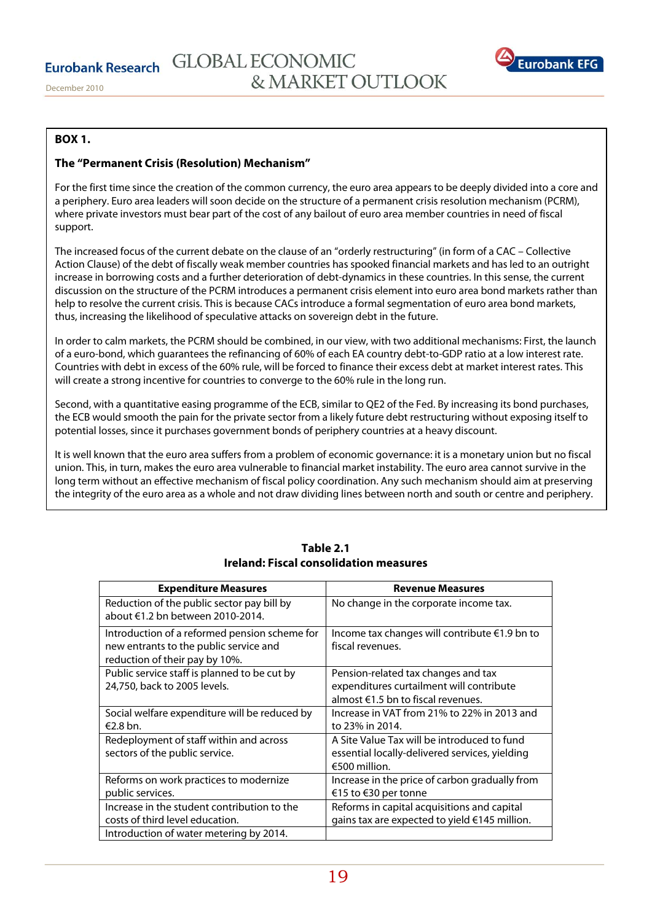

# **BOX 1.**

## **The "Permanent Crisis (Resolution) Mechanism"**

For the first time since the creation of the common currency, the euro area appears to be deeply divided into a core and a periphery. Euro area leaders will soon decide on the structure of a permanent crisis resolution mechanism (PCRM), where private investors must bear part of the cost of any bailout of euro area member countries in need of fiscal support.

The increased focus of the current debate on the clause of an "orderly restructuring" (in form of a CAC – Collective Action Clause) of the debt of fiscally weak member countries has spooked financial markets and has led to an outright increase in borrowing costs and a further deterioration of debt-dynamics in these countries. In this sense, the current discussion on the structure of the PCRM introduces a permanent crisis element into euro area bond markets rather than help to resolve the current crisis. This is because CACs introduce a formal segmentation of euro area bond markets, thus, increasing the likelihood of speculative attacks on sovereign debt in the future.

In order to calm markets, the PCRM should be combined, in our view, with two additional mechanisms: First, the launch of a euro-bond, which guarantees the refinancing of 60% of each EA country debt-to-GDP ratio at a low interest rate. Countries with debt in excess of the 60% rule, will be forced to finance their excess debt at market interest rates. This will create a strong incentive for countries to converge to the 60% rule in the long run.

Second, with a quantitative easing programme of the ECB, similar to QE2 of the Fed. By increasing its bond purchases, the ECB would smooth the pain for the private sector from a likely future debt restructuring without exposing itself to potential losses, since it purchases government bonds of periphery countries at a heavy discount.

It is well known that the euro area suffers from a problem of economic governance: it is a monetary union but no fiscal union. This, in turn, makes the euro area vulnerable to financial market instability. The euro area cannot survive in the long term without an effective mechanism of fiscal policy coordination. Any such mechanism should aim at preserving the integrity of the euro area as a whole and not draw dividing lines between north and south or centre and periphery.

| <b>Expenditure Measures</b>                                                                                               | <b>Revenue Measures</b>                                                                                               |
|---------------------------------------------------------------------------------------------------------------------------|-----------------------------------------------------------------------------------------------------------------------|
| Reduction of the public sector pay bill by<br>about €1.2 bn between 2010-2014.                                            | No change in the corporate income tax.                                                                                |
| Introduction of a reformed pension scheme for<br>new entrants to the public service and<br>reduction of their pay by 10%. | Income tax changes will contribute €1.9 bn to<br>fiscal revenues.                                                     |
| Public service staff is planned to be cut by<br>24,750, back to 2005 levels.                                              | Pension-related tax changes and tax<br>expenditures curtailment will contribute<br>almost €1.5 bn to fiscal revenues. |
| Social welfare expenditure will be reduced by<br>€2.8 bn.                                                                 | Increase in VAT from 21% to 22% in 2013 and<br>to 23% in 2014.                                                        |
| Redeployment of staff within and across<br>sectors of the public service.                                                 | A Site Value Tax will be introduced to fund<br>essential locally-delivered services, yielding<br>€500 million.        |
| Reforms on work practices to modernize<br>public services.                                                                | Increase in the price of carbon gradually from<br>€15 to €30 per tonne                                                |
| Increase in the student contribution to the<br>costs of third level education.                                            | Reforms in capital acquisitions and capital<br>gains tax are expected to yield €145 million.                          |
| Introduction of water metering by 2014.                                                                                   |                                                                                                                       |

# **Table 2.1 Ireland: Fiscal consolidation measures**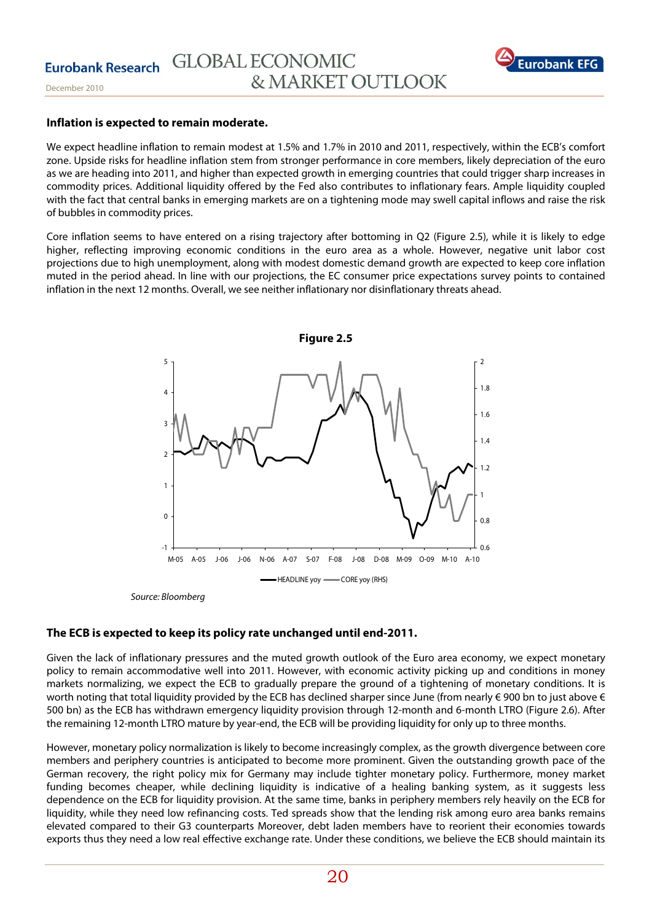

#### **Inflation is expected to remain moderate.**

We expect headline inflation to remain modest at 1.5% and 1.7% in 2010 and 2011, respectively, within the ECB's comfort zone. Upside risks for headline inflation stem from stronger performance in core members, likely depreciation of the euro as we are heading into 2011, and higher than expected growth in emerging countries that could trigger sharp increases in commodity prices. Additional liquidity offered by the Fed also contributes to inflationary fears. Ample liquidity coupled with the fact that central banks in emerging markets are on a tightening mode may swell capital inflows and raise the risk of bubbles in commodity prices.

Core inflation seems to have entered on a rising trajectory after bottoming in Q2 (Figure 2.5), while it is likely to edge higher, reflecting improving economic conditions in the euro area as a whole. However, negative unit labor cost projections due to high unemployment, along with modest domestic demand growth are expected to keep core inflation muted in the period ahead. In line with our projections, the EC consumer price expectations survey points to contained inflation in the next 12 months. Overall, we see neither inflationary nor disinflationary threats ahead.



#### Source: Bloomberg

#### **The ECB is expected to keep its policy rate unchanged until end-2011.**

Given the lack of inflationary pressures and the muted growth outlook of the Euro area economy, we expect monetary policy to remain accommodative well into 2011. However, with economic activity picking up and conditions in money markets normalizing, we expect the ECB to gradually prepare the ground of a tightening of monetary conditions. It is worth noting that total liquidity provided by the ECB has declined sharper since June (from nearly  $\in$  900 bn to just above  $\in$ 500 bn) as the ECB has withdrawn emergency liquidity provision through 12-month and 6-month LTRO (Figure 2.6). After the remaining 12-month LTRO mature by year-end, the ECB will be providing liquidity for only up to three months.

However, monetary policy normalization is likely to become increasingly complex, as the growth divergence between core members and periphery countries is anticipated to become more prominent. Given the outstanding growth pace of the German recovery, the right policy mix for Germany may include tighter monetary policy. Furthermore, money market funding becomes cheaper, while declining liquidity is indicative of a healing banking system, as it suggests less dependence on the ECB for liquidity provision. At the same time, banks in periphery members rely heavily on the ECB for liquidity, while they need low refinancing costs. Ted spreads show that the lending risk among euro area banks remains elevated compared to their G3 counterparts Moreover, debt laden members have to reorient their economies towards exports thus they need a low real effective exchange rate. Under these conditions, we believe the ECB should maintain its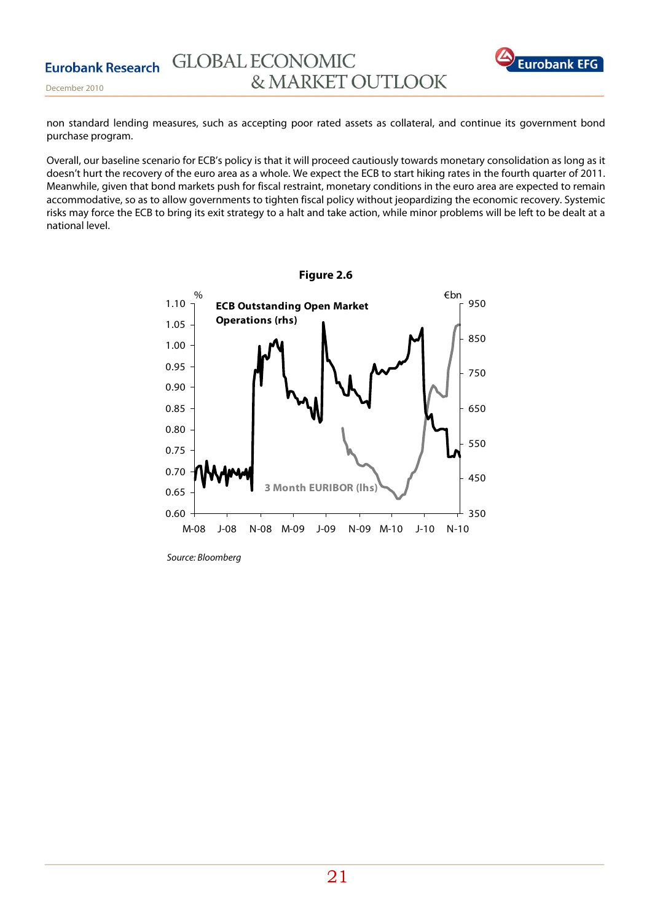

December 2010

non standard lending measures, such as accepting poor rated assets as collateral, and continue its government bond purchase program.

Overall, our baseline scenario for ECB's policy is that it will proceed cautiously towards monetary consolidation as long as it doesn't hurt the recovery of the euro area as a whole. We expect the ECB to start hiking rates in the fourth quarter of 2011. Meanwhile, given that bond markets push for fiscal restraint, monetary conditions in the euro area are expected to remain accommodative, so as to allow governments to tighten fiscal policy without jeopardizing the economic recovery. Systemic risks may force the ECB to bring its exit strategy to a halt and take action, while minor problems will be left to be dealt at a national level.



Source: Bloomberg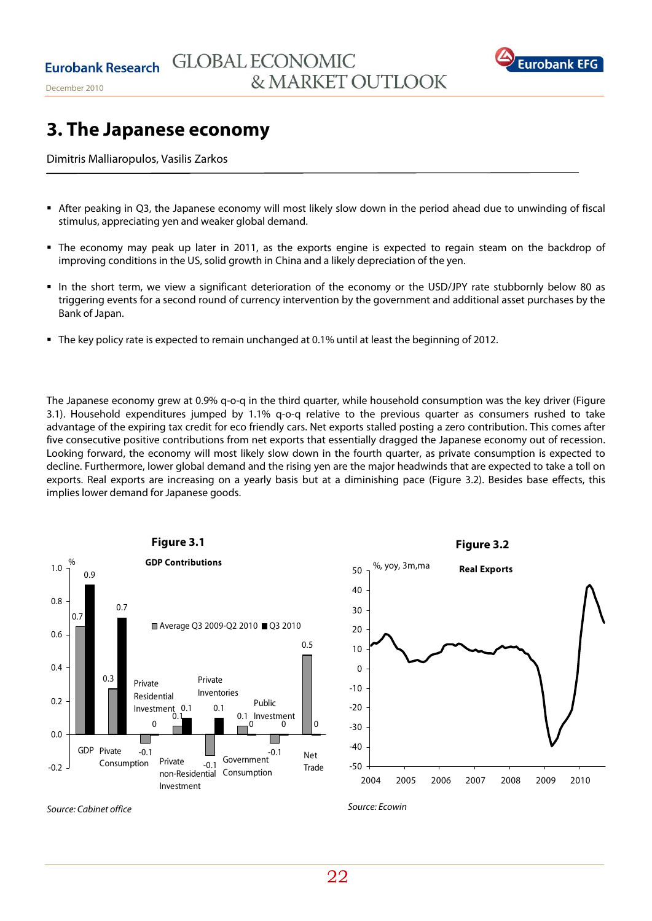

# **3. The Japanese economy**

Dimitris Malliaropulos, Vasilis Zarkos

- After peaking in Q3, the Japanese economy will most likely slow down in the period ahead due to unwinding of fiscal stimulus, appreciating yen and weaker global demand.
- The economy may peak up later in 2011, as the exports engine is expected to regain steam on the backdrop of improving conditions in the US, solid growth in China and a likely depreciation of the yen.
- In the short term, we view a significant deterioration of the economy or the USD/JPY rate stubbornly below 80 as triggering events for a second round of currency intervention by the government and additional asset purchases by the Bank of Japan.
- The key policy rate is expected to remain unchanged at 0.1% until at least the beginning of 2012.

The Japanese economy grew at 0.9% q-o-q in the third quarter, while household consumption was the key driver (Figure 3.1). Household expenditures jumped by 1.1% q-o-q relative to the previous quarter as consumers rushed to take advantage of the expiring tax credit for eco friendly cars. Net exports stalled posting a zero contribution. This comes after five consecutive positive contributions from net exports that essentially dragged the Japanese economy out of recession. Looking forward, the economy will most likely slow down in the fourth quarter, as private consumption is expected to decline. Furthermore, lower global demand and the rising yen are the major headwinds that are expected to take a toll on exports. Real exports are increasing on a yearly basis but at a diminishing pace (Figure 3.2). Besides base effects, this implies lower demand for Japanese goods.





Source: Cabinet office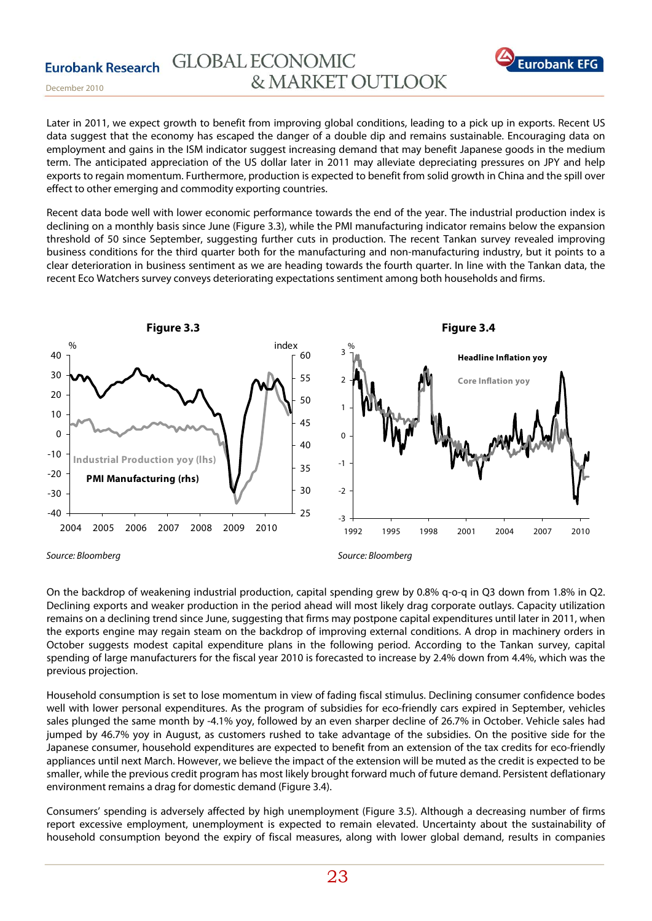

December 2010

Later in 2011, we expect growth to benefit from improving global conditions, leading to a pick up in exports. Recent US data suggest that the economy has escaped the danger of a double dip and remains sustainable. Encouraging data on employment and gains in the ISM indicator suggest increasing demand that may benefit Japanese goods in the medium term. The anticipated appreciation of the US dollar later in 2011 may alleviate depreciating pressures on JPY and help exports to regain momentum. Furthermore, production is expected to benefit from solid growth in China and the spill over effect to other emerging and commodity exporting countries.

Recent data bode well with lower economic performance towards the end of the year. The industrial production index is declining on a monthly basis since June (Figure 3.3), while the PMI manufacturing indicator remains below the expansion threshold of 50 since September, suggesting further cuts in production. The recent Tankan survey revealed improving business conditions for the third quarter both for the manufacturing and non-manufacturing industry, but it points to a clear deterioration in business sentiment as we are heading towards the fourth quarter. In line with the Tankan data, the recent Eco Watchers survey conveys deteriorating expectations sentiment among both households and firms.



Source: Bloomberg

Source: Bloomberg

On the backdrop of weakening industrial production, capital spending grew by 0.8% q-o-q in Q3 down from 1.8% in Q2. Declining exports and weaker production in the period ahead will most likely drag corporate outlays. Capacity utilization remains on a declining trend since June, suggesting that firms may postpone capital expenditures until later in 2011, when the exports engine may regain steam on the backdrop of improving external conditions. A drop in machinery orders in October suggests modest capital expenditure plans in the following period. According to the Tankan survey, capital spending of large manufacturers for the fiscal year 2010 is forecasted to increase by 2.4% down from 4.4%, which was the previous projection.

Household consumption is set to lose momentum in view of fading fiscal stimulus. Declining consumer confidence bodes well with lower personal expenditures. As the program of subsidies for eco-friendly cars expired in September, vehicles sales plunged the same month by -4.1% yoy, followed by an even sharper decline of 26.7% in October. Vehicle sales had jumped by 46.7% yoy in August, as customers rushed to take advantage of the subsidies. On the positive side for the Japanese consumer, household expenditures are expected to benefit from an extension of the tax credits for eco-friendly appliances until next March. However, we believe the impact of the extension will be muted as the credit is expected to be smaller, while the previous credit program has most likely brought forward much of future demand. Persistent deflationary environment remains a drag for domestic demand (Figure 3.4).

Consumers' spending is adversely affected by high unemployment (Figure 3.5). Although a decreasing number of firms report excessive employment, unemployment is expected to remain elevated. Uncertainty about the sustainability of household consumption beyond the expiry of fiscal measures, along with lower global demand, results in companies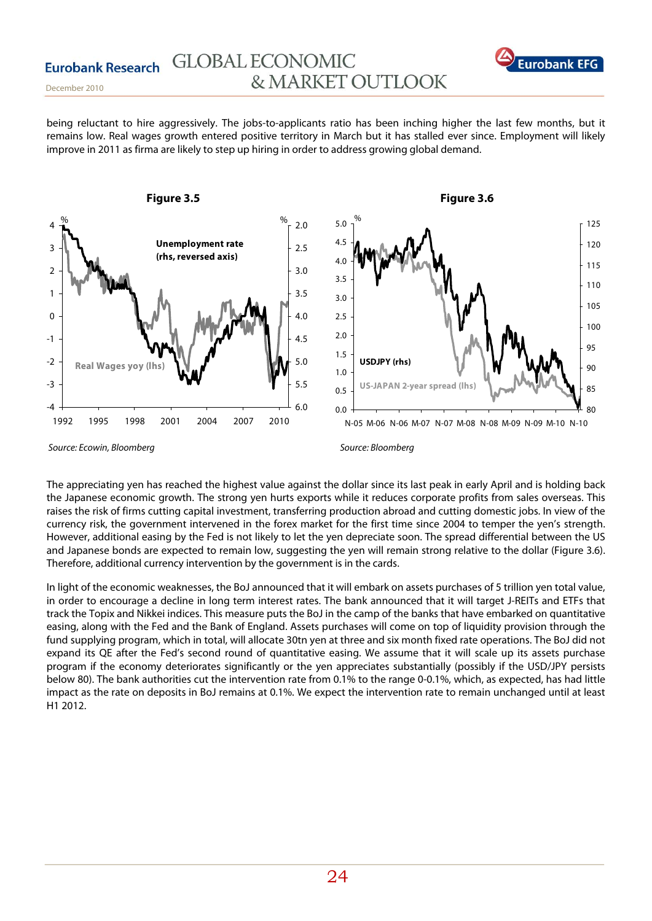

December 2010

being reluctant to hire aggressively. The jobs-to-applicants ratio has been inching higher the last few months, but it remains low. Real wages growth entered positive territory in March but it has stalled ever since. Employment will likely improve in 2011 as firma are likely to step up hiring in order to address growing global demand.



The appreciating yen has reached the highest value against the dollar since its last peak in early April and is holding back the Japanese economic growth. The strong yen hurts exports while it reduces corporate profits from sales overseas. This raises the risk of firms cutting capital investment, transferring production abroad and cutting domestic jobs. In view of the currency risk, the government intervened in the forex market for the first time since 2004 to temper the yen's strength. However, additional easing by the Fed is not likely to let the yen depreciate soon. The spread differential between the US and Japanese bonds are expected to remain low, suggesting the yen will remain strong relative to the dollar (Figure 3.6). Therefore, additional currency intervention by the government is in the cards.

In light of the economic weaknesses, the BoJ announced that it will embark on assets purchases of 5 trillion yen total value, in order to encourage a decline in long term interest rates. The bank announced that it will target J-REITs and ETFs that track the Topix and Nikkei indices. This measure puts the BoJ in the camp of the banks that have embarked on quantitative easing, along with the Fed and the Bank of England. Assets purchases will come on top of liquidity provision through the fund supplying program, which in total, will allocate 30tn yen at three and six month fixed rate operations. The BoJ did not expand its QE after the Fed's second round of quantitative easing. We assume that it will scale up its assets purchase program if the economy deteriorates significantly or the yen appreciates substantially (possibly if the USD/JPY persists below 80). The bank authorities cut the intervention rate from 0.1% to the range 0-0.1%, which, as expected, has had little impact as the rate on deposits in BoJ remains at 0.1%. We expect the intervention rate to remain unchanged until at least H1 2012.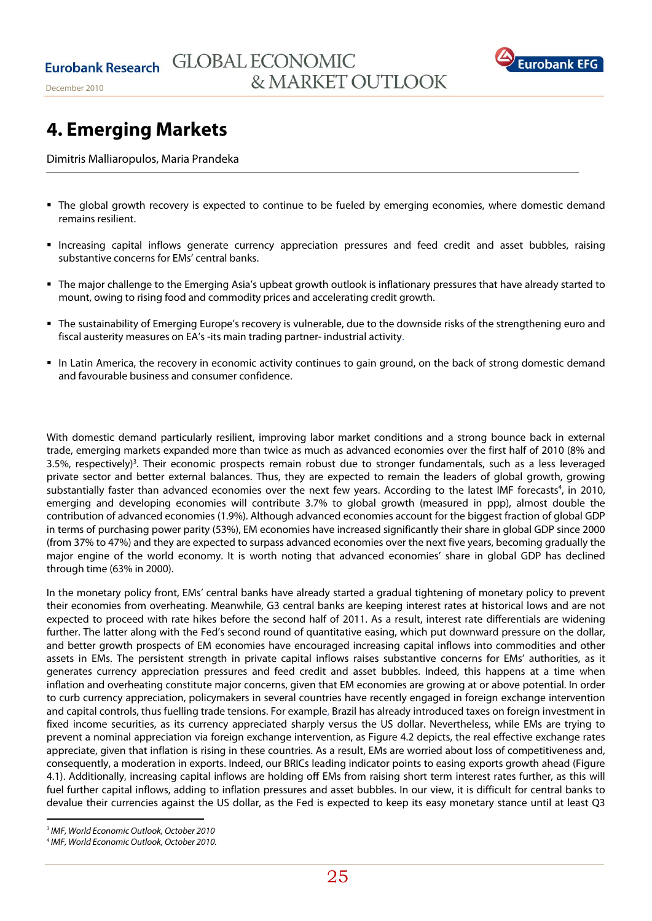

# **4. Emerging Markets**

Dimitris Malliaropulos, Maria Prandeka

- The global growth recovery is expected to continue to be fueled by emerging economies, where domestic demand remains resilient.
- Increasing capital inflows generate currency appreciation pressures and feed credit and asset bubbles, raising substantive concerns for EMs' central banks.
- The major challenge to the Emerging Asia's upbeat growth outlook is inflationary pressures that have already started to mount, owing to rising food and commodity prices and accelerating credit growth.
- The sustainability of Emerging Europe's recovery is vulnerable, due to the downside risks of the strengthening euro and fiscal austerity measures on EA's -its main trading partner- industrial activity.
- In Latin America, the recovery in economic activity continues to gain ground, on the back of strong domestic demand and favourable business and consumer confidence.

With domestic demand particularly resilient, improving labor market conditions and a strong bounce back in external trade, emerging markets expanded more than twice as much as advanced economies over the first half of 2010 (8% and 3.5%, respectively)<sup>3</sup>. Their economic prospects remain robust due to stronger fundamentals, such as a less leveraged private sector and better external balances. Thus, they are expected to remain the leaders of global growth, growing substantially faster than advanced economies over the next few years. According to the latest IMF forecasts<sup>4</sup>, in 2010, emerging and developing economies will contribute 3.7% to global growth (measured in ppp), almost double the contribution of advanced economies (1.9%). Although advanced economies account for the biggest fraction of global GDP in terms of purchasing power parity (53%), EM economies have increased significantly their share in global GDP since 2000 (from 37% to 47%) and they are expected to surpass advanced economies over the next five years, becoming gradually the major engine of the world economy. It is worth noting that advanced economies' share in global GDP has declined through time (63% in 2000).

In the monetary policy front, EMs' central banks have already started a gradual tightening of monetary policy to prevent their economies from overheating. Meanwhile, G3 central banks are keeping interest rates at historical lows and are not expected to proceed with rate hikes before the second half of 2011. As a result, interest rate differentials are widening further. The latter along with the Fed's second round of quantitative easing, which put downward pressure on the dollar, and better growth prospects of EM economies have encouraged increasing capital inflows into commodities and other assets in EMs. The persistent strength in private capital inflows raises substantive concerns for EMs' authorities, as it generates currency appreciation pressures and feed credit and asset bubbles. Indeed, this happens at a time when inflation and overheating constitute major concerns, given that EM economies are growing at or above potential. In order to curb currency appreciation, policymakers in several countries have recently engaged in foreign exchange intervention and capital controls, thus fuelling trade tensions. For example, Brazil has already introduced taxes on foreign investment in fixed income securities, as its currency appreciated sharply versus the US dollar. Nevertheless, while EMs are trying to prevent a nominal appreciation via foreign exchange intervention, as Figure 4.2 depicts, the real effective exchange rates appreciate, given that inflation is rising in these countries. As a result, EMs are worried about loss of competitiveness and, consequently, a moderation in exports. Indeed, our BRICs leading indicator points to easing exports growth ahead (Figure 4.1). Additionally, increasing capital inflows are holding off EMs from raising short term interest rates further, as this will fuel further capital inflows, adding to inflation pressures and asset bubbles. In our view, it is difficult for central banks to devalue their currencies against the US dollar, as the Fed is expected to keep its easy monetary stance until at least Q3

 3 IMF, World Economic Outlook, October 2010

<sup>4</sup> IMF, World Economic Outlook, October 2010.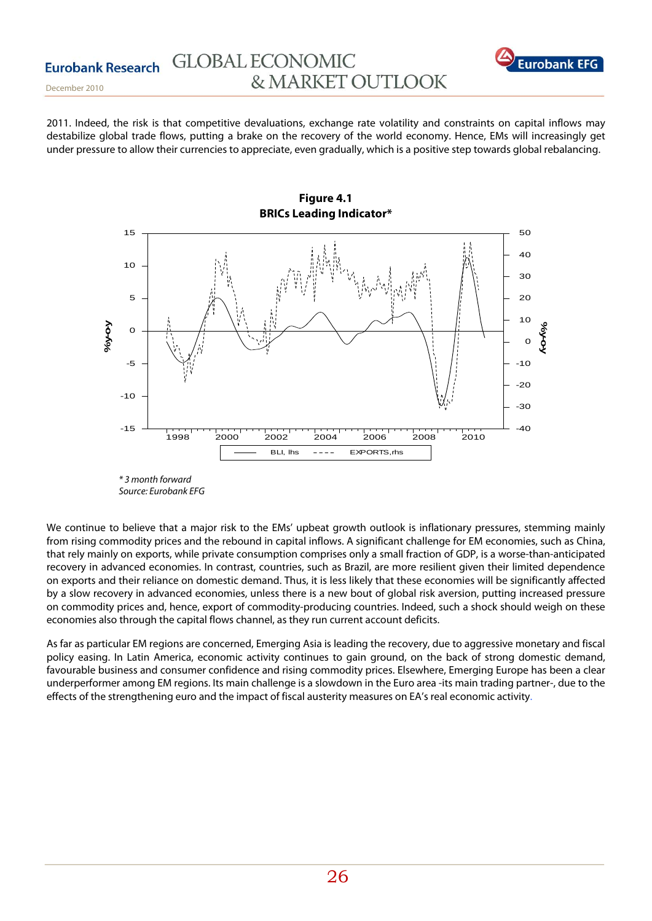![](_page_25_Picture_1.jpeg)

December 2010

2011. Indeed, the risk is that competitive devaluations, exchange rate volatility and constraints on capital inflows may destabilize global trade flows, putting a brake on the recovery of the world economy. Hence, EMs will increasingly get under pressure to allow their currencies to appreciate, even gradually, which is a positive step towards global rebalancing.

![](_page_25_Figure_4.jpeg)

<sup>\* 3</sup> month forward Source: Eurobank EFG

We continue to believe that a major risk to the EMs' upbeat growth outlook is inflationary pressures, stemming mainly from rising commodity prices and the rebound in capital inflows. A significant challenge for EM economies, such as China, that rely mainly on exports, while private consumption comprises only a small fraction of GDP, is a worse-than-anticipated recovery in advanced economies. In contrast, countries, such as Brazil, are more resilient given their limited dependence on exports and their reliance on domestic demand. Thus, it is less likely that these economies will be significantly affected by a slow recovery in advanced economies, unless there is a new bout of global risk aversion, putting increased pressure on commodity prices and, hence, export of commodity-producing countries. Indeed, such a shock should weigh on these economies also through the capital flows channel, as they run current account deficits.

As far as particular EM regions are concerned, Emerging Asia is leading the recovery, due to aggressive monetary and fiscal policy easing. In Latin America, economic activity continues to gain ground, on the back of strong domestic demand, favourable business and consumer confidence and rising commodity prices. Elsewhere, Emerging Europe has been a clear underperformer among EM regions. Its main challenge is a slowdown in the Euro area -its main trading partner-, due to the effects of the strengthening euro and the impact of fiscal austerity measures on EA's real economic activity.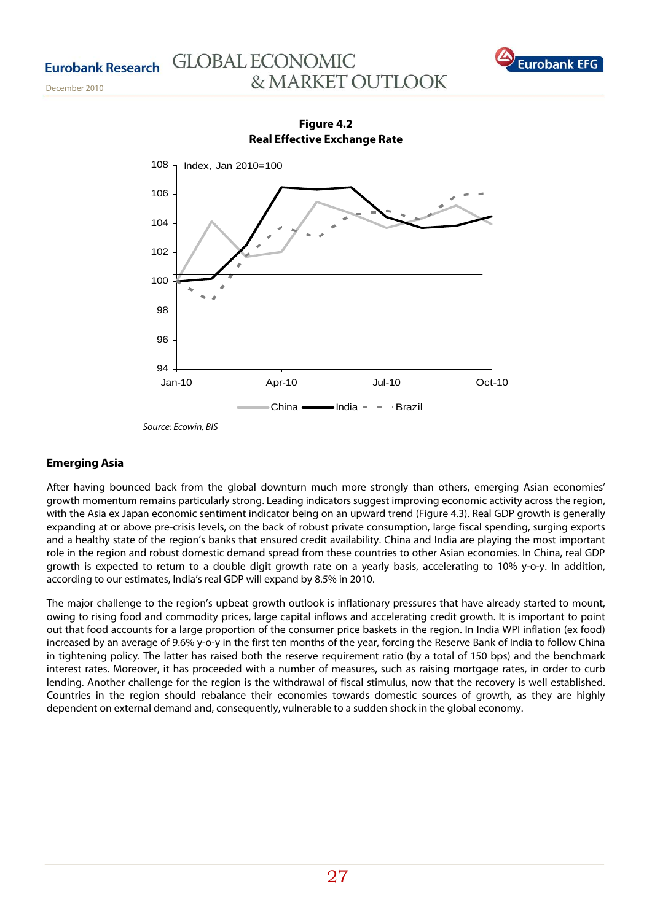December 2010

# **GLOBAL ECONOMIC** & MARKET OUTLOOK

![](_page_26_Picture_2.jpeg)

94 96 98 100 102 104 106 108 Jan-10 Apr-10 Jul-10 Oct-10 China  $\longrightarrow$ India =  $\equiv$  Brazil Index, Jan 2010=100

**Figure 4.2 Real Effective Exchange Rate** 

Source: Ecowin, BIS

## **Emerging Asia**

After having bounced back from the global downturn much more strongly than others, emerging Asian economies' growth momentum remains particularly strong. Leading indicators suggest improving economic activity across the region, with the Asia ex Japan economic sentiment indicator being on an upward trend (Figure 4.3). Real GDP growth is generally expanding at or above pre-crisis levels, on the back of robust private consumption, large fiscal spending, surging exports and a healthy state of the region's banks that ensured credit availability. China and India are playing the most important role in the region and robust domestic demand spread from these countries to other Asian economies. In China, real GDP growth is expected to return to a double digit growth rate on a yearly basis, accelerating to 10% y-o-y. In addition, according to our estimates, India's real GDP will expand by 8.5% in 2010.

The major challenge to the region's upbeat growth outlook is inflationary pressures that have already started to mount, owing to rising food and commodity prices, large capital inflows and accelerating credit growth. It is important to point out that food accounts for a large proportion of the consumer price baskets in the region. In India WPI inflation (ex food) increased by an average of 9.6% y-o-y in the first ten months of the year, forcing the Reserve Bank of India to follow China in tightening policy. The latter has raised both the reserve requirement ratio (by a total of 150 bps) and the benchmark interest rates. Moreover, it has proceeded with a number of measures, such as raising mortgage rates, in order to curb lending. Another challenge for the region is the withdrawal of fiscal stimulus, now that the recovery is well established. Countries in the region should rebalance their economies towards domestic sources of growth, as they are highly dependent on external demand and, consequently, vulnerable to a sudden shock in the global economy.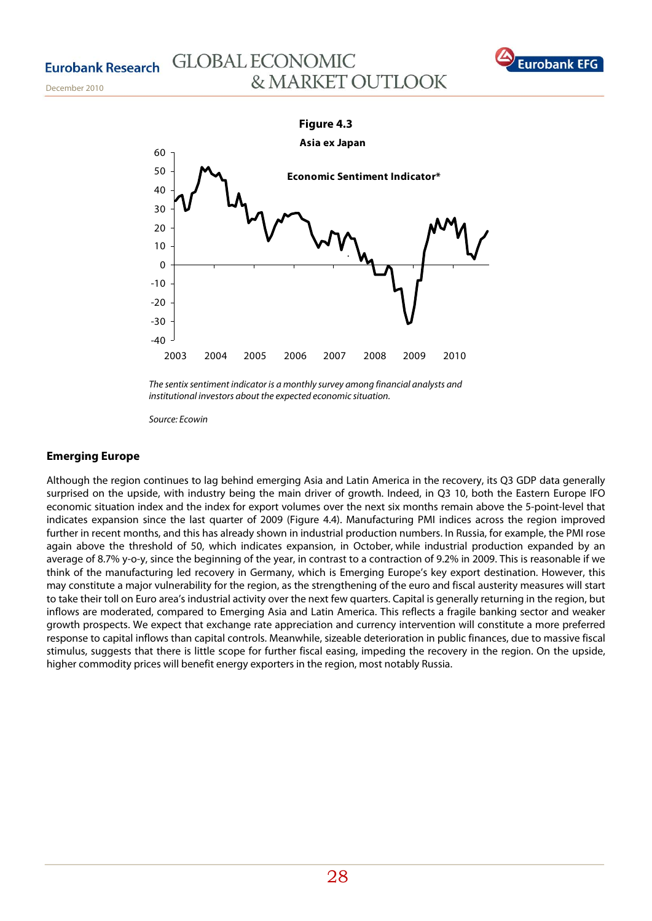December 2010

# **GLOBAL ECONOMIC** & MARKET OUTLOOK

![](_page_27_Picture_2.jpeg)

![](_page_27_Figure_3.jpeg)

The sentix sentiment indicator is a monthly survey among financial analysts and institutional investors about the expected economic situation.

Source: Ecowin

# **Emerging Europe**

Although the region continues to lag behind emerging Asia and Latin America in the recovery, its Q3 GDP data generally surprised on the upside, with industry being the main driver of growth. Indeed, in Q3 10, both the Eastern Europe IFO economic situation index and the index for export volumes over the next six months remain above the 5-point-level that indicates expansion since the last quarter of 2009 (Figure 4.4). Manufacturing PMI indices across the region improved further in recent months, and this has already shown in industrial production numbers. In Russia, for example, the PMI rose again above the threshold of 50, which indicates expansion, in October, while industrial production expanded by an average of 8.7% y-o-y, since the beginning of the year, in contrast to a contraction of 9.2% in 2009. This is reasonable if we think of the manufacturing led recovery in Germany, which is Emerging Europe's key export destination. However, this may constitute a major vulnerability for the region, as the strengthening of the euro and fiscal austerity measures will start to take their toll on Euro area's industrial activity over the next few quarters. Capital is generally returning in the region, but inflows are moderated, compared to Emerging Asia and Latin America. This reflects a fragile banking sector and weaker growth prospects. We expect that exchange rate appreciation and currency intervention will constitute a more preferred response to capital inflows than capital controls. Meanwhile, sizeable deterioration in public finances, due to massive fiscal stimulus, suggests that there is little scope for further fiscal easing, impeding the recovery in the region. On the upside, higher commodity prices will benefit energy exporters in the region, most notably Russia.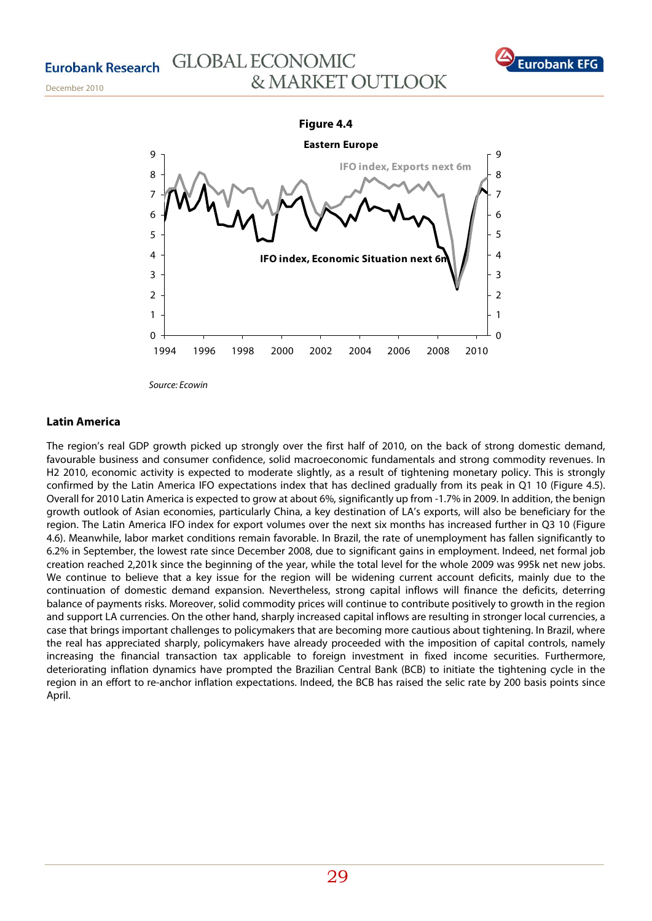# **GLOBAL ECONOMIC** & MARKET OUTLOOK

![](_page_28_Picture_2.jpeg)

December 2010

![](_page_28_Figure_4.jpeg)

## **Latin America**

The region's real GDP growth picked up strongly over the first half of 2010, on the back of strong domestic demand, favourable business and consumer confidence, solid macroeconomic fundamentals and strong commodity revenues. In H2 2010, economic activity is expected to moderate slightly, as a result of tightening monetary policy. This is strongly confirmed by the Latin America IFO expectations index that has declined gradually from its peak in Q1 10 (Figure 4.5). Overall for 2010 Latin America is expected to grow at about 6%, significantly up from -1.7% in 2009. In addition, the benign growth outlook of Asian economies, particularly China, a key destination of LA's exports, will also be beneficiary for the region. The Latin America IFO index for export volumes over the next six months has increased further in Q3 10 (Figure 4.6). Meanwhile, labor market conditions remain favorable. In Brazil, the rate of unemployment has fallen significantly to 6.2% in September, the lowest rate since December 2008, due to significant gains in employment. Indeed, net formal job creation reached 2,201k since the beginning of the year, while the total level for the whole 2009 was 995k net new jobs. We continue to believe that a key issue for the region will be widening current account deficits, mainly due to the continuation of domestic demand expansion. Nevertheless, strong capital inflows will finance the deficits, deterring balance of payments risks. Moreover, solid commodity prices will continue to contribute positively to growth in the region and support LA currencies. On the other hand, sharply increased capital inflows are resulting in stronger local currencies, a case that brings important challenges to policymakers that are becoming more cautious about tightening. In Brazil, where the real has appreciated sharply, policymakers have already proceeded with the imposition of capital controls, namely increasing the financial transaction tax applicable to foreign investment in fixed income securities. Furthermore, deteriorating inflation dynamics have prompted the Brazilian Central Bank (BCB) to initiate the tightening cycle in the region in an effort to re-anchor inflation expectations. Indeed, the BCB has raised the selic rate by 200 basis points since April.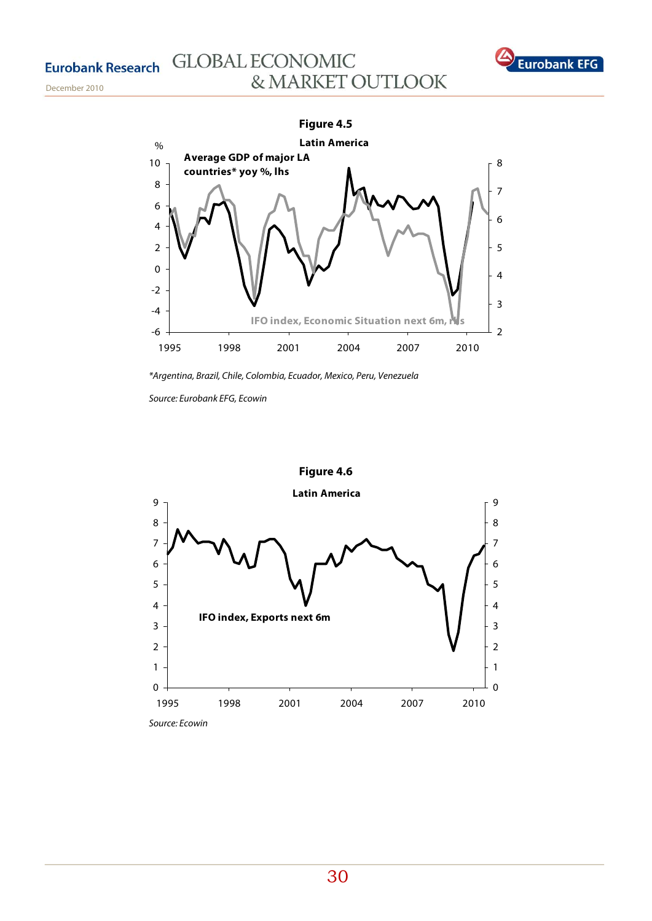December 2010

# **GLOBAL ECONOMIC** & MARKET OUTLOOK

![](_page_29_Picture_2.jpeg)

![](_page_29_Figure_3.jpeg)

\*Argentina, Brazil, Chile, Colombia, Ecuador, Mexico, Peru, Venezuela

Source: Eurobank EFG, Ecowin

![](_page_29_Figure_6.jpeg)

Source: Ecowin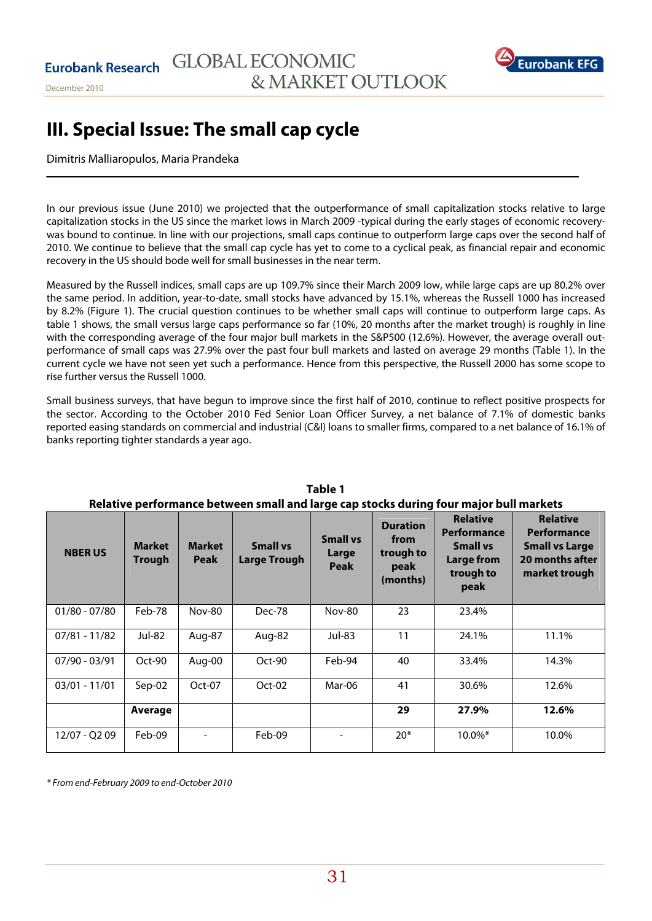![](_page_30_Picture_1.jpeg)

# **ΙΙΙ. Special Issue: The small cap cycle**

# Dimitris Malliaropulos, Maria Prandeka

In our previous issue (June 2010) we projected that the outperformance of small capitalization stocks relative to large capitalization stocks in the US since the market lows in March 2009 -typical during the early stages of economic recoverywas bound to continue. In line with our projections, small caps continue to outperform large caps over the second half of 2010. We continue to believe that the small cap cycle has yet to come to a cyclical peak, as financial repair and economic recovery in the US should bode well for small businesses in the near term.

Measured by the Russell indices, small caps are up 109.7% since their March 2009 low, while large caps are up 80.2% over the same period. In addition, year-to-date, small stocks have advanced by 15.1%, whereas the Russell 1000 has increased by 8.2% (Figure 1). The crucial question continues to be whether small caps will continue to outperform large caps. As table 1 shows, the small versus large caps performance so far (10%, 20 months after the market trough) is roughly in line with the corresponding average of the four major bull markets in the S&P500 (12.6%). However, the average overall outperformance of small caps was 27.9% over the past four bull markets and lasted on average 29 months (Table 1). In the current cycle we have not seen yet such a performance. Hence from this perspective, the Russell 2000 has some scope to rise further versus the Russell 1000.

Small business surveys, that have begun to improve since the first half of 2010, continue to reflect positive prospects for the sector. According to the October 2010 Fed Senior Loan Officer Survey, a net balance of 7.1% of domestic banks reported easing standards on commercial and industrial (C&I) loans to smaller firms, compared to a net balance of 16.1% of banks reporting tighter standards a year ago.

| Relative performance between small and large cap stocks during four major bull markets |                  |                              |                                 |                                         |                                                          |                                                                                      |                                                                                                    |  |  |  |  |
|----------------------------------------------------------------------------------------|------------------|------------------------------|---------------------------------|-----------------------------------------|----------------------------------------------------------|--------------------------------------------------------------------------------------|----------------------------------------------------------------------------------------------------|--|--|--|--|
| <b>NBERUS</b>                                                                          | Market<br>Trough | <b>Market</b><br><b>Peak</b> | <b>Small vs</b><br>Large Trough | <b>Small vs</b><br>Large<br><b>Peak</b> | <b>Duration</b><br>from<br>trough to<br>peak<br>(months) | <b>Relative</b><br>Performance<br><b>Small vs</b><br>Large from<br>trough to<br>peak | <b>Relative</b><br><b>Performance</b><br><b>Small vs Large</b><br>20 months after<br>market trough |  |  |  |  |
| $01/80 - 07/80$                                                                        | Feb-78           | <b>Nov-80</b>                | Dec-78                          | <b>Nov-80</b>                           | 23                                                       | 23.4%                                                                                |                                                                                                    |  |  |  |  |
| $07/81 - 11/82$                                                                        | Jul-82           | Aug-87                       | Aug-82                          | Jul-83                                  | 11                                                       | 24.1%                                                                                | 11.1%                                                                                              |  |  |  |  |
| 07/90 - 03/91                                                                          | Oct-90           | Aug-00                       | $Oct-90$                        | Feb-94                                  | 40                                                       | 33.4%                                                                                | 14.3%                                                                                              |  |  |  |  |
| $03/01 - 11/01$                                                                        | $Sep-02$         | Oct-07                       | $Oct-02$                        | Mar-06                                  | 41                                                       | 30.6%                                                                                | 12.6%                                                                                              |  |  |  |  |
|                                                                                        | Average          |                              |                                 |                                         | 29                                                       | 27.9%                                                                                | 12.6%                                                                                              |  |  |  |  |
| 12/07 - Q2 09                                                                          | Feb-09           |                              | Feb-09                          |                                         | $20*$                                                    | $10.0\%$ *                                                                           | 10.0%                                                                                              |  |  |  |  |

| Table 1                                                                               |
|---------------------------------------------------------------------------------------|
| Relative performance between small and large can stocks during four major bull market |

\* From end-February 2009 to end-October 2010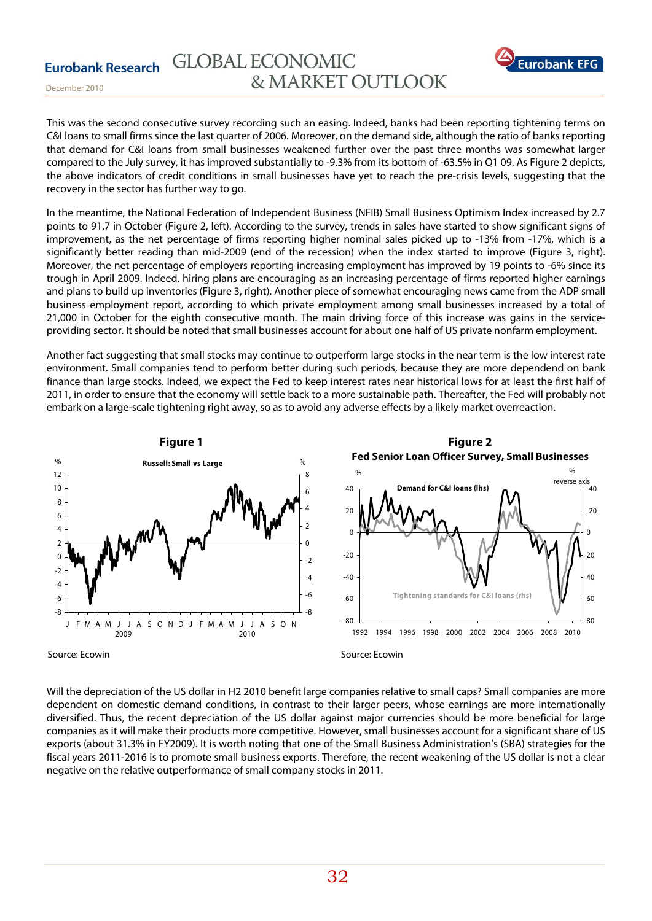![](_page_31_Picture_1.jpeg)

December 2010

This was the second consecutive survey recording such an easing. Indeed, banks had been reporting tightening terms on C&I loans to small firms since the last quarter of 2006. Moreover, on the demand side, although the ratio of banks reporting that demand for C&I loans from small businesses weakened further over the past three months was somewhat larger compared to the July survey, it has improved substantially to -9.3% from its bottom of -63.5% in Q1 09. As Figure 2 depicts, the above indicators of credit conditions in small businesses have yet to reach the pre-crisis levels, suggesting that the recovery in the sector has further way to go.

In the meantime, the National Federation of Independent Business (NFIB) Small Business Optimism Index increased by 2.7 points to 91.7 in October (Figure 2, left). According to the survey, trends in sales have started to show significant signs of improvement, as the net percentage of firms reporting higher nominal sales picked up to -13% from -17%, which is a significantly better reading than mid-2009 (end of the recession) when the index started to improve (Figure 3, right). Moreover, the net percentage of employers reporting increasing employment has improved by 19 points to -6% since its trough in April 2009. Indeed, hiring plans are encouraging as an increasing percentage of firms reported higher earnings and plans to build up inventories (Figure 3, right). Another piece of somewhat encouraging news came from the ADP small business employment report, according to which private employment among small businesses increased by a total of 21,000 in October for the eighth consecutive month. The main driving force of this increase was gains in the serviceproviding sector. It should be noted that small businesses account for about one half of US private nonfarm employment.

Another fact suggesting that small stocks may continue to outperform large stocks in the near term is the low interest rate environment. Small companies tend to perform better during such periods, because they are more dependend on bank finance than large stocks. Indeed, we expect the Fed to keep interest rates near historical lows for at least the first half of 2011, in order to ensure that the economy will settle back to a more sustainable path. Thereafter, the Fed will probably not embark on a large-scale tightening right away, so as to avoid any adverse effects by a likely market overreaction.

![](_page_31_Figure_6.jpeg)

Will the depreciation of the US dollar in H2 2010 benefit large companies relative to small caps? Small companies are more dependent on domestic demand conditions, in contrast to their larger peers, whose earnings are more internationally diversified. Thus, the recent depreciation of the US dollar against major currencies should be more beneficial for large companies as it will make their products more competitive. However, small businesses account for a significant share of US exports (about 31.3% in FY2009). It is worth noting that one of the Small Business Administration's (SBA) strategies for the fiscal years 2011-2016 is to promote small business exports. Therefore, the recent weakening of the US dollar is not a clear negative on the relative outperformance of small company stocks in 2011.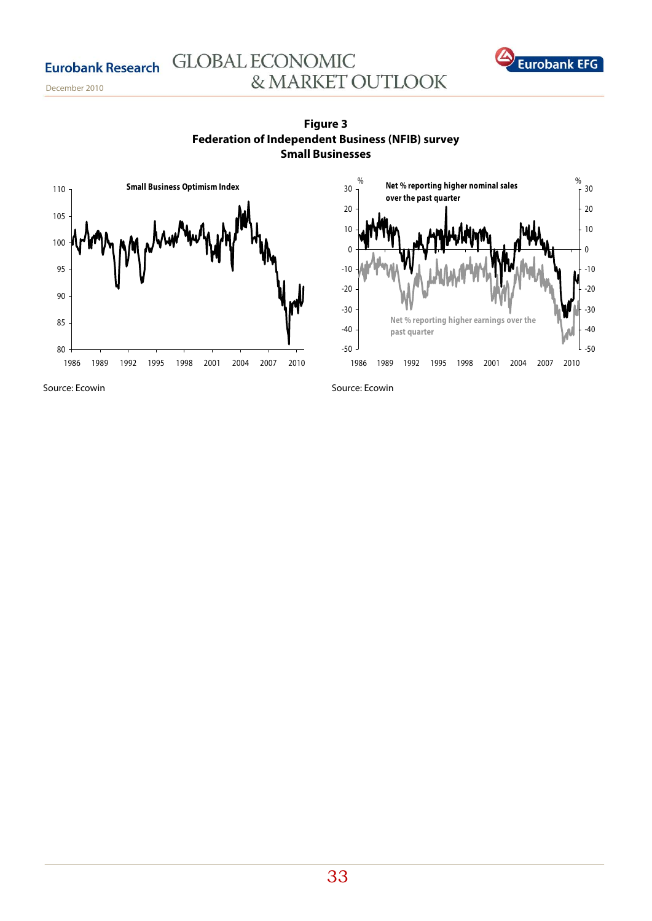December 2010

![](_page_32_Figure_2.jpeg)

![](_page_32_Figure_3.jpeg)

& MARKET OUTLOOK

**GLOBAL ECONOMIC** 

![](_page_32_Figure_4.jpeg)

**Eurobank EFG** 

Source: Ecowin

Source: Ecowin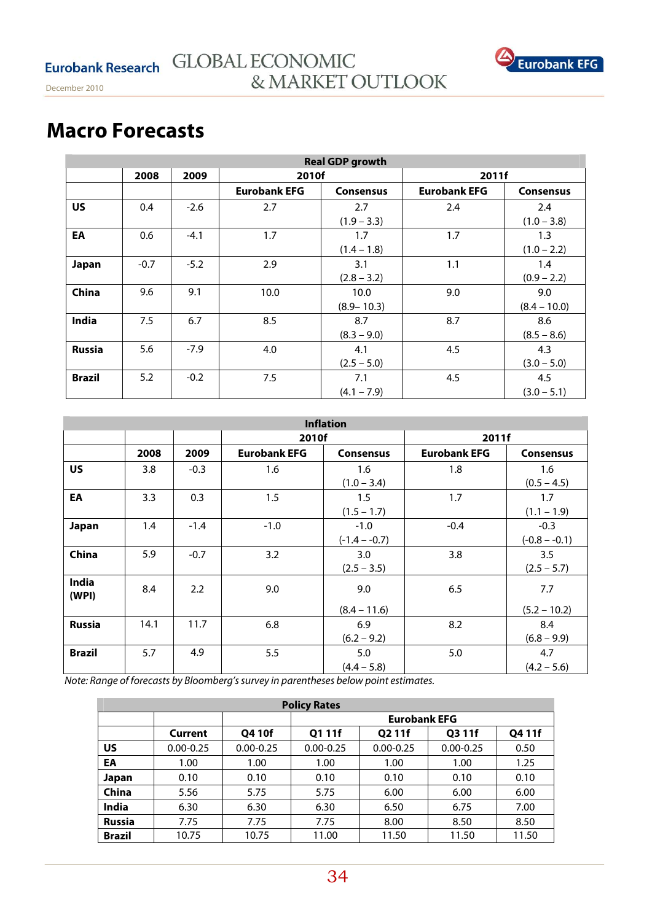![](_page_33_Picture_1.jpeg)

# **Macro Forecasts**

| <b>Real GDP growth</b> |        |        |                     |                  |                     |                  |  |  |  |  |
|------------------------|--------|--------|---------------------|------------------|---------------------|------------------|--|--|--|--|
|                        | 2008   | 2009   | 2010f               |                  | 2011f               |                  |  |  |  |  |
|                        |        |        | <b>Eurobank EFG</b> | <b>Consensus</b> | <b>Eurobank EFG</b> | <b>Consensus</b> |  |  |  |  |
| <b>US</b>              | 0.4    | $-2.6$ | 2.7                 | 2.7              | 2.4                 | 2.4              |  |  |  |  |
|                        |        |        |                     | $(1.9 - 3.3)$    |                     | $(1.0 - 3.8)$    |  |  |  |  |
| EA                     | 0.6    | $-4.1$ | 1.7                 | 1.7              | 1.7                 | 1.3              |  |  |  |  |
|                        |        |        |                     | $(1.4 - 1.8)$    | $(1.0 - 2.2)$       |                  |  |  |  |  |
| Japan                  | $-0.7$ | $-5.2$ | 2.9                 | 3.1              | 1.1                 | 1.4              |  |  |  |  |
|                        |        |        |                     | $(2.8 - 3.2)$    |                     | $(0.9 - 2.2)$    |  |  |  |  |
| China                  | 9.6    | 9.1    | 10.0                | 10.0             | 9.0                 | 9.0              |  |  |  |  |
|                        |        |        |                     | $(8.9 - 10.3)$   |                     | $(8.4 - 10.0)$   |  |  |  |  |
| India                  | 7.5    | 6.7    | 8.5                 | 8.7              | 8.7                 | 8.6              |  |  |  |  |
|                        |        |        |                     | $(8.3 - 9.0)$    |                     | $(8.5 - 8.6)$    |  |  |  |  |
| <b>Russia</b>          | 5.6    | $-7.9$ | 4.0                 | 4.1              | 4.5                 | 4.3              |  |  |  |  |
|                        |        |        |                     | $(2.5 - 5.0)$    |                     | $(3.0 - 5.0)$    |  |  |  |  |
| <b>Brazil</b>          | 5.2    | $-0.2$ | 7.5                 | 7.1              | 4.5                 | 4.5              |  |  |  |  |
|                        |        |        |                     | $(4.1 - 7.9)$    |                     | $(3.0 - 5.1)$    |  |  |  |  |

| <b>Inflation</b> |      |        |                     |                  |                     |                  |  |  |  |  |
|------------------|------|--------|---------------------|------------------|---------------------|------------------|--|--|--|--|
|                  |      |        | 2010f               |                  | 2011f               |                  |  |  |  |  |
|                  | 2008 | 2009   | <b>Eurobank EFG</b> | <b>Consensus</b> | <b>Eurobank EFG</b> | <b>Consensus</b> |  |  |  |  |
| <b>US</b>        | 3.8  | $-0.3$ | 1.6                 | 1.6              | 1.8                 | 1.6              |  |  |  |  |
|                  |      |        |                     | $(1.0 - 3.4)$    |                     | $(0.5 - 4.5)$    |  |  |  |  |
| EA               | 3.3  | 0.3    | 1.5                 | $1.5\,$          | 1.7                 | 1.7              |  |  |  |  |
|                  |      |        |                     | $(1.5 - 1.7)$    |                     | $(1.1 - 1.9)$    |  |  |  |  |
| Japan            | 1.4  | $-1.4$ | $-1.0$              | $-1.0$           | $-0.4$              | $-0.3$           |  |  |  |  |
|                  |      |        |                     | $(-1.4 - -0.7)$  |                     | $(-0.8 - -0.1)$  |  |  |  |  |
| China            | 5.9  | $-0.7$ | 3.2                 | 3.0              | 3.8                 | 3.5              |  |  |  |  |
|                  |      |        |                     | $(2.5 - 3.5)$    |                     | $(2.5 - 5.7)$    |  |  |  |  |
| India<br>(WPI)   | 8.4  | 2.2    | 9.0                 | 9.0              | 6.5                 | 7.7              |  |  |  |  |
|                  |      |        |                     | $(8.4 - 11.6)$   |                     | $(5.2 - 10.2)$   |  |  |  |  |
| <b>Russia</b>    | 14.1 | 11.7   | 6.8                 | 6.9              | 8.2                 | 8.4              |  |  |  |  |
|                  |      |        |                     | $(6.2 - 9.2)$    |                     | $(6.8 - 9.9)$    |  |  |  |  |
| <b>Brazil</b>    | 5.7  | 4.9    | 5.5                 | 5.0              | 5.0                 | 4.7              |  |  |  |  |
|                  |      |        |                     | $(4.4 - 5.8)$    |                     | $(4.2 - 5.6)$    |  |  |  |  |

Note: Range of forecasts by Bloomberg's survey in parentheses below point estimates.

| <b>Policy Rates</b> |               |               |               |                     |               |        |  |  |  |  |
|---------------------|---------------|---------------|---------------|---------------------|---------------|--------|--|--|--|--|
|                     |               |               |               | <b>Eurobank EFG</b> |               |        |  |  |  |  |
|                     | Current       | Q4 10f        | Q1 11f        | Q2 11f              | Q3 11f        | Q4 11f |  |  |  |  |
| US                  | $0.00 - 0.25$ | $0.00 - 0.25$ | $0.00 - 0.25$ | $0.00 - 0.25$       | $0.00 - 0.25$ | 0.50   |  |  |  |  |
| EA                  | 1.00          | 1.00          | 1.00          | 1.00                | 1.00          | 1.25   |  |  |  |  |
| Japan               | 0.10          | 0.10          | 0.10          | 0.10                | 0.10          | 0.10   |  |  |  |  |
| China               | 5.56          | 5.75          | 5.75          | 6.00                | 6.00          | 6.00   |  |  |  |  |
| India               | 6.30          | 6.30          | 6.30          | 6.50                | 6.75          | 7.00   |  |  |  |  |
| <b>Russia</b>       | 7.75          | 7.75          | 7.75          | 8.00                | 8.50          | 8.50   |  |  |  |  |
| <b>Brazil</b>       | 10.75         | 10.75         | 11.00         | 11.50               | 11.50         | 11.50  |  |  |  |  |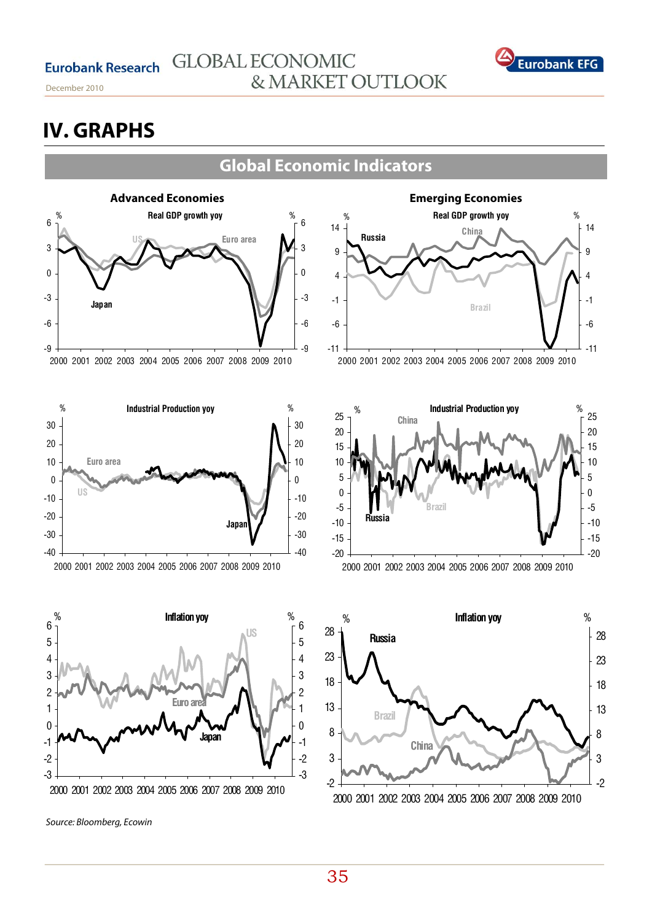**Eurobank Research** 

December 2010

# **GLOBAL ECONOMIC** & MARKET OUTLOOK

![](_page_34_Picture_3.jpeg)

# **IV. GRAPHS**

# **Global Economic Indicators**

![](_page_34_Figure_6.jpeg)

2000 2001 2002 2003 2004 2005 2006 2007 2008 2009 2010

![](_page_34_Figure_8.jpeg)

2000 2001 2002 2003 2004 2005 2006 2007 2008 2009 2010

![](_page_34_Figure_10.jpeg)

2000 2001 2002 2003 2004 2005 2006 2007 2008 2009 2010

Source: Bloomberg, Ecowin

**Emerging Economies**  -11 -6 -1 4 9 14 2000 2001 2002 2003 2004 2005 2006 2007 2008 2009 2010 -11 -6 -1 4 9 14 % **Real GDP growth yoy** % **Brazil Russia China**

![](_page_34_Figure_14.jpeg)

![](_page_34_Figure_15.jpeg)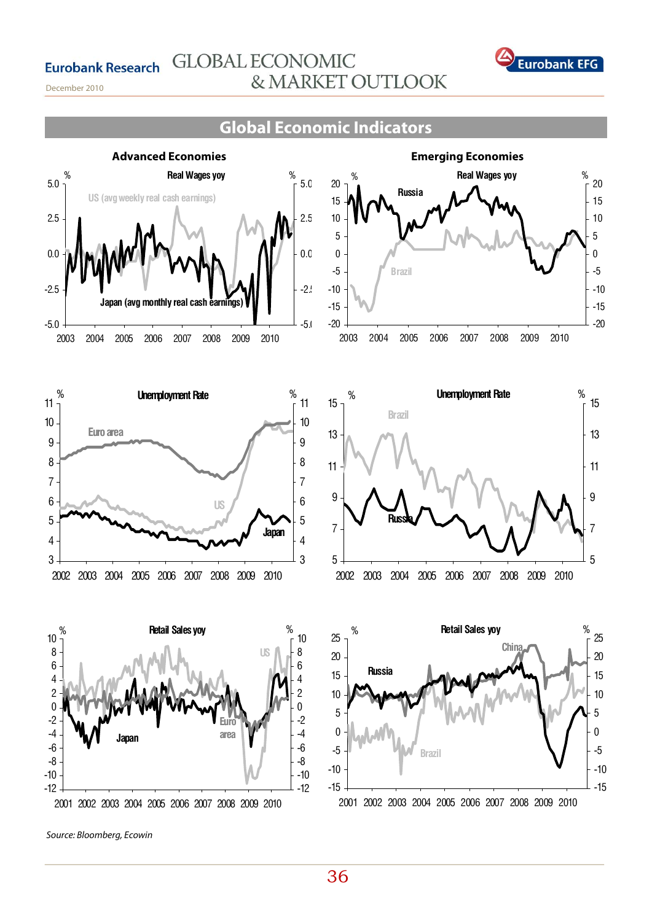![](_page_35_Picture_1.jpeg)

December 2010

# **Global Economic Indicators**

![](_page_35_Figure_4.jpeg)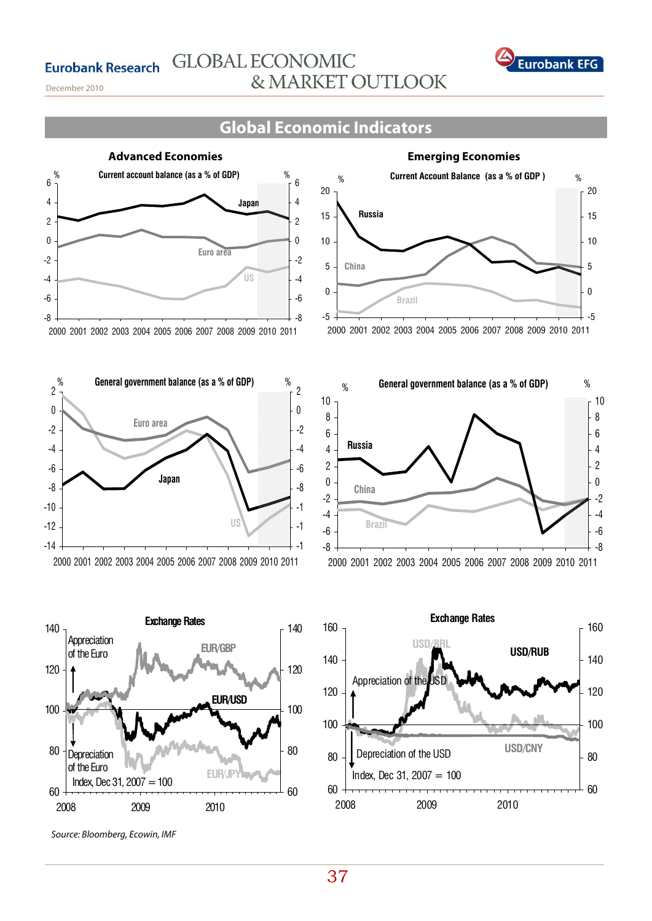![](_page_36_Picture_1.jpeg)

December 2010

# **Global Economic Indicators**

![](_page_36_Figure_4.jpeg)

#### 2000 2001 2002 2003 2004 2005 2006 2007 2008 2009 2010 2011

![](_page_36_Figure_6.jpeg)

![](_page_36_Figure_7.jpeg)

Source: Bloomberg, Ecowin, IMF

![](_page_36_Figure_9.jpeg)

### 2000 2001 2002 2003 2004 2005 2006 2007 2008 2009 2010 2011

![](_page_36_Figure_11.jpeg)

![](_page_36_Figure_12.jpeg)

37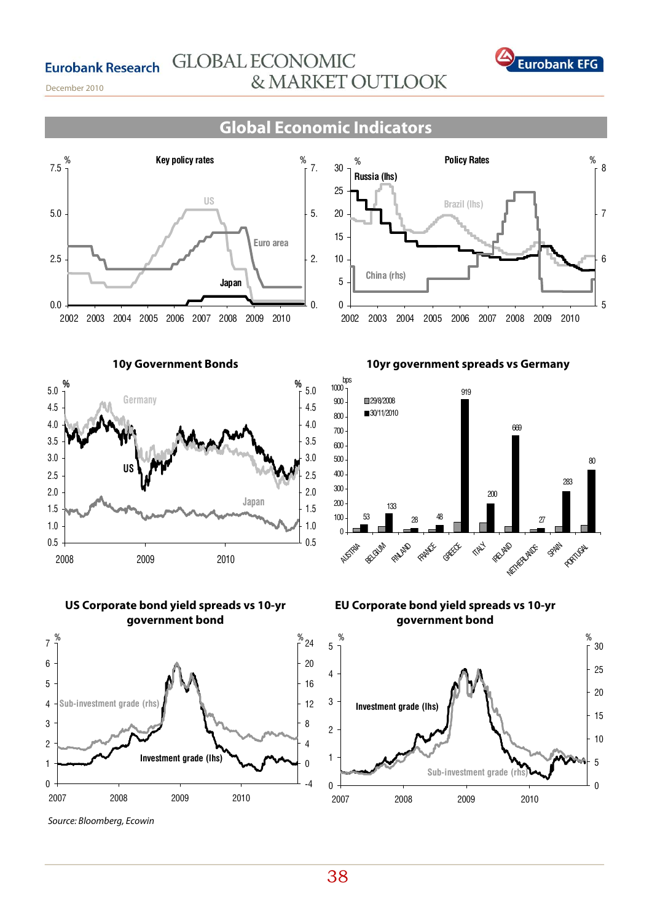![](_page_37_Picture_1.jpeg)

December 2010

# **Global Economic Indicators**

![](_page_37_Figure_4.jpeg)

**10y Government Bonds** 

![](_page_37_Figure_6.jpeg)

**US Corporate bond yield spreads vs 10-yr government bond** 

![](_page_37_Figure_8.jpeg)

Source: Bloomberg, Ecowin

0 5 10 15 20 25 30 2002 2003 2004 2005 2006 2007 2008 2009 2010 5 6 7 <sup>8</sup> % **Policy Rates** % **Brazil (lhs) Russia (lhs) China (rhs)**

![](_page_37_Figure_11.jpeg)

**10yr government spreads vs Germany** 

**EU Corporate bond yield spreads vs 10-yr government bond** 

![](_page_37_Figure_13.jpeg)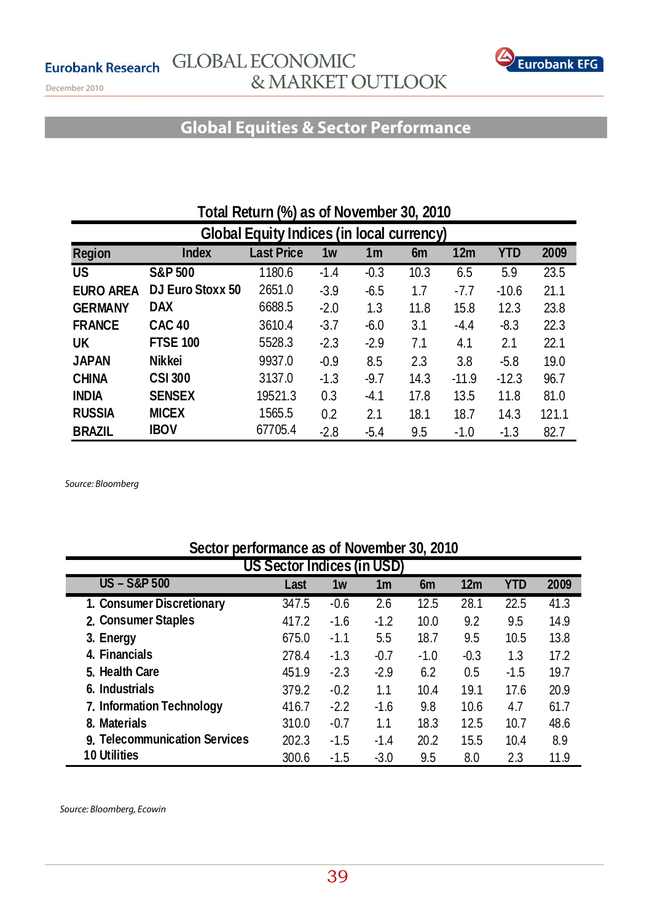![](_page_38_Picture_2.jpeg)

December 2010

# **Global Equities & Sector Performance**

| Total Return (%) as of November 30, 2010         |                                                                                              |         |        |        |      |         |         |       |  |  |
|--------------------------------------------------|----------------------------------------------------------------------------------------------|---------|--------|--------|------|---------|---------|-------|--|--|
| <b>Global Equity Indices (in local currency)</b> |                                                                                              |         |        |        |      |         |         |       |  |  |
| <b>Region</b>                                    | <b>Last Price</b><br>12m<br><b>YTD</b><br>2009<br><b>Index</b><br>1w<br>1 <sub>m</sub><br>6m |         |        |        |      |         |         |       |  |  |
| <b>US</b>                                        | <b>S&amp;P 500</b>                                                                           | 1180.6  | $-1.4$ | $-0.3$ | 10.3 | 6.5     | 5.9     | 23.5  |  |  |
| <b>EURO AREA</b>                                 | DJ Euro Stoxx 50                                                                             | 2651.0  | $-3.9$ | $-6.5$ | 1.7  | $-7.7$  | $-10.6$ | 21.1  |  |  |
| <b>GERMANY</b>                                   | <b>DAX</b>                                                                                   | 6688.5  | $-2.0$ | 1.3    | 11.8 | 15.8    | 12.3    | 23.8  |  |  |
| <b>FRANCE</b>                                    | <b>CAC 40</b>                                                                                | 3610.4  | $-3.7$ | $-6.0$ | 3.1  | $-4.4$  | $-8.3$  | 22.3  |  |  |
| <b>UK</b>                                        | <b>FTSE 100</b>                                                                              | 5528.3  | $-2.3$ | $-2.9$ | 7.1  | 4.1     | 2.1     | 22.1  |  |  |
| <b>JAPAN</b>                                     | <b>Nikkei</b>                                                                                | 9937.0  | $-0.9$ | 8.5    | 2.3  | 3.8     | $-5.8$  | 19.0  |  |  |
| <b>CHINA</b>                                     | <b>CSI 300</b>                                                                               | 3137.0  | $-1.3$ | $-9.7$ | 14.3 | $-11.9$ | $-12.3$ | 96.7  |  |  |
| <b>INDIA</b>                                     | <b>SENSEX</b>                                                                                | 19521.3 | 0.3    | $-4.1$ | 17.8 | 13.5    | 11.8    | 81.0  |  |  |
| <b>RUSSIA</b>                                    | <b>MICEX</b>                                                                                 | 1565.5  | 0.2    | 2.1    | 18.1 | 18.7    | 14.3    | 121.1 |  |  |
| <b>BRAZIL</b>                                    | <b>IBOV</b>                                                                                  | 67705.4 | $-2.8$ | $-5.4$ | 9.5  | $-1.0$  | $-1.3$  | 82.7  |  |  |

Source: Bloomberg

# **Sector performance as of November 30, 2010**

| US Sector Indices (in USD)    |       |        |        |                |        |            |      |  |  |
|-------------------------------|-------|--------|--------|----------------|--------|------------|------|--|--|
| <b>US-S&amp;P500</b>          | Last  | 1w     | 1m     | 6 <sub>m</sub> | 12m    | <b>YTD</b> | 2009 |  |  |
| 1. Consumer Discretionary     | 347.5 | $-0.6$ | 2.6    | 12.5           | 28.1   | 22.5       | 41.3 |  |  |
| 2. Consumer Staples           | 417.2 | $-1.6$ | $-1.2$ | 10.0           | 9.2    | 9.5        | 14.9 |  |  |
| 3. Energy                     | 675.0 | $-1.1$ | 5.5    | 18.7           | 9.5    | 10.5       | 13.8 |  |  |
| 4. Financials                 | 278.4 | $-1.3$ | $-0.7$ | $-1.0$         | $-0.3$ | 1.3        | 17.2 |  |  |
| 5. Health Care                | 451.9 | $-2.3$ | $-2.9$ | 6.2            | 0.5    | $-1.5$     | 19.7 |  |  |
| 6. Industrials                | 379.2 | $-0.2$ | 1.1    | 10.4           | 19.1   | 17.6       | 20.9 |  |  |
| 7. Information Technology     | 416.7 | $-2.2$ | $-1.6$ | 9.8            | 10.6   | 4.7        | 61.7 |  |  |
| 8. Materials                  | 310.0 | $-0.7$ | 1.1    | 18.3           | 12.5   | 10.7       | 48.6 |  |  |
| 9. Telecommunication Services | 202.3 | $-1.5$ | $-1.4$ | 20.2           | 15.5   | 10.4       | 8.9  |  |  |
| <b>10 Utilities</b>           | 300.6 | $-1.5$ | $-3.0$ | 9.5            | 8.0    | 2.3        | 11.9 |  |  |

Source: Bloomberg, Ecowin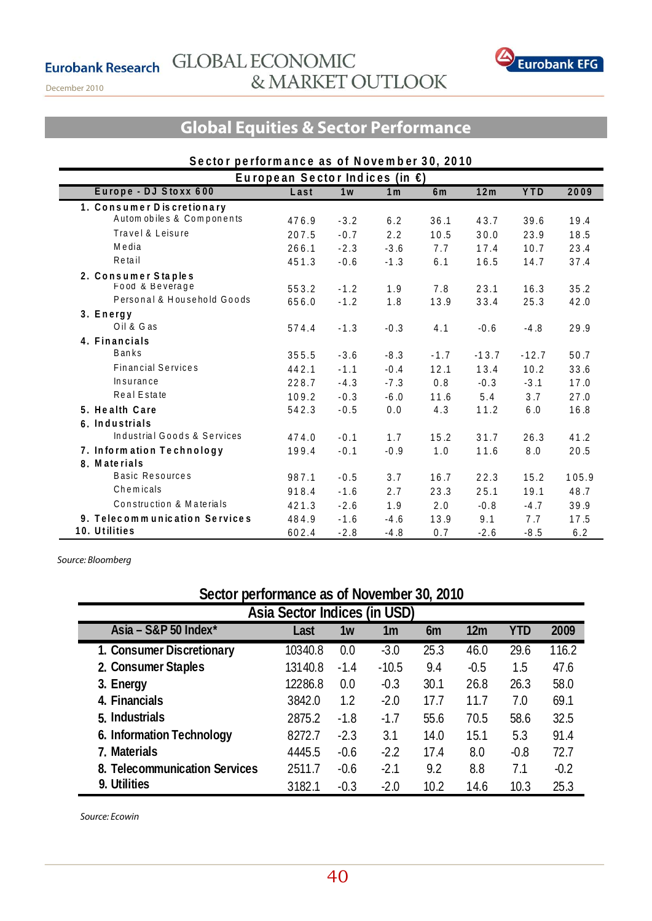**Eurobank Research** 

December 2010

![](_page_39_Picture_2.jpeg)

# **Global Equities & Sector Performance**

| Sector performance as of November 30, 2010 |                                     |                |                |                |         |            |       |  |  |
|--------------------------------------------|-------------------------------------|----------------|----------------|----------------|---------|------------|-------|--|--|
|                                            | European Sector Indices (in $\xi$ ) |                |                |                |         |            |       |  |  |
| Europe - DJ Stoxx 600                      | Last                                | 1 <sub>w</sub> | 1 <sub>m</sub> | 6 <sub>m</sub> | 12m     | <b>YTD</b> | 2009  |  |  |
| 1. Consumer Discretionary                  |                                     |                |                |                |         |            |       |  |  |
| Autom obiles & Components                  | 476.9                               | $-3.2$         | 6.2            | 36.1           | 43.7    | 39.6       | 19.4  |  |  |
| Travel & Leisure                           | 207.5                               | $-0.7$         | 2.2            | 10.5           | 30.0    | 23.9       | 18.5  |  |  |
| Media                                      | 266.1                               | $-2.3$         | $-3.6$         | 7.7            | 17.4    | 10.7       | 23.4  |  |  |
| Retail                                     | 451.3                               | $-0.6$         | $-1.3$         | 6.1            | 16.5    | 14.7       | 37.4  |  |  |
| 2. Consumer Staples                        |                                     |                |                |                |         |            |       |  |  |
| Food & Beverage                            | 553.2                               | $-1.2$         | 1.9            | 7.8            | 23.1    | 16.3       | 35.2  |  |  |
| Personal & Household Goods                 | 656.0                               | $-1.2$         | 1.8            | 13.9           | 33.4    | 25.3       | 42.0  |  |  |
| 3. Energy                                  |                                     |                |                |                |         |            |       |  |  |
| Oil & Gas                                  | 574.4                               | $-1.3$         | $-0.3$         | 4.1            | $-0.6$  | $-4.8$     | 29.9  |  |  |
| 4. Financials                              |                                     |                |                |                |         |            |       |  |  |
| <b>Banks</b>                               | 355.5                               | $-3.6$         | $-8.3$         | $-1.7$         | $-13.7$ | $-12.7$    | 50.7  |  |  |
| <b>Financial Services</b>                  | 442.1                               | $-1.1$         | $-0.4$         | 12.1           | 13.4    | 10.2       | 33.6  |  |  |
| Insurance                                  | 228.7                               | $-4.3$         | $-7.3$         | 0.8            | $-0.3$  | $-3.1$     | 17.0  |  |  |
| Real Estate                                | 109.2                               | $-0.3$         | $-6.0$         | 11.6           | 5.4     | 3.7        | 27.0  |  |  |
| 5. Health Care                             | 542.3                               | $-0.5$         | $0.0$          | 4.3            | 11.2    | 6.0        | 16.8  |  |  |
| 6. Industrials                             |                                     |                |                |                |         |            |       |  |  |
| Industrial Goods & Services                | 474.0                               | $-0.1$         | 1.7            | 15.2           | 31.7    | 26.3       | 41.2  |  |  |
| 7. Information Technology                  | 199.4                               | $-0.1$         | $-0.9$         | 1.0            | 11.6    | 0.8        | 20.5  |  |  |
| 8. Materials                               |                                     |                |                |                |         |            |       |  |  |
| Basic Resources                            | 987.1                               | $-0.5$         | 3.7            | 16.7           | 22.3    | 15.2       | 105.9 |  |  |
| Chemicals                                  | 918.4                               | $-1.6$         | 2.7            | 23.3           | 25.1    | 19.1       | 48.7  |  |  |
| Construction & Materials                   | 421.3                               | $-2.6$         | 1.9            | 2.0            | $-0.8$  | $-4.7$     | 39.9  |  |  |
| 9. Telecommunication Services              | 484.9                               | $-1.6$         | $-4.6$         | 13.9           | 9.1     | 7.7        | 17.5  |  |  |
| 10. Utilities                              | 602.4                               | $-2.8$         | $-4.8$         | 0.7            | $-2.6$  | $-8.5$     | 6.2   |  |  |

Source: Bloomberg

# **Sector performance as of November 30, 2010**

| Asia Sector Indices (in USD)     |         |        |                |      |                 |        |        |  |  |  |  |  |
|----------------------------------|---------|--------|----------------|------|-----------------|--------|--------|--|--|--|--|--|
| Asia - S&P 50 Index <sup>*</sup> | Last    | 1w     | 1 <sub>m</sub> | 6m   | 12 <sub>m</sub> | YTD    | 2009   |  |  |  |  |  |
| 1. Consumer Discretionary        | 10340.8 | 0.0    | $-3.0$         | 25.3 | 46.0            | 29.6   | 116.2  |  |  |  |  |  |
| 2. Consumer Staples              | 13140.8 | $-1.4$ | $-10.5$        | 9.4  | $-0.5$          | 1.5    | 47.6   |  |  |  |  |  |
| 3. Energy                        | 12286.8 | 0.0    | $-0.3$         | 30.1 | 26.8            | 26.3   | 58.0   |  |  |  |  |  |
| 4. Financials                    | 3842.0  | 1.2    | $-2.0$         | 17.7 | 11.7            | 7.0    | 69.1   |  |  |  |  |  |
| 5. Industrials                   | 2875.2  | $-1.8$ | $-1.7$         | 55.6 | 70.5            | 58.6   | 32.5   |  |  |  |  |  |
| 6. Information Technology        | 8272.7  | $-2.3$ | 3.1            | 14.0 | 15.1            | 5.3    | 91.4   |  |  |  |  |  |
| 7. Materials                     | 4445.5  | $-0.6$ | $-2.2$         | 17.4 | 8.0             | $-0.8$ | 72.7   |  |  |  |  |  |
| 8. Telecommunication Services    | 2511.7  | $-0.6$ | $-2.1$         | 9.2  | 8.8             | 7.1    | $-0.2$ |  |  |  |  |  |
| 9. Utilities                     | 3182.1  | $-0.3$ | $-2.0$         | 10.2 | 14.6            | 10.3   | 25.3   |  |  |  |  |  |

Source: Ecowin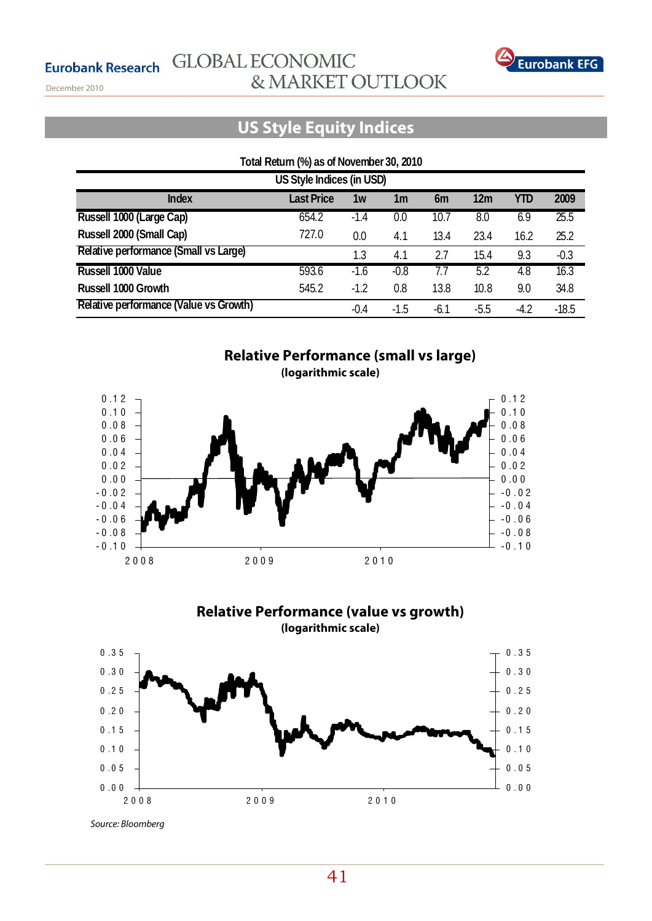![](_page_40_Picture_1.jpeg)

December 2010

# **US Style Equity Indices**

# **Total Return (%) as of November 30, 2010**

| US Style Indices (in USD)              |                   |        |        |      |                 |        |         |  |  |  |  |
|----------------------------------------|-------------------|--------|--------|------|-----------------|--------|---------|--|--|--|--|
| <b>Index</b>                           | <b>Last Price</b> | 1w     | 1m     | 6m   | 12 <sub>m</sub> | YTD    | 2009    |  |  |  |  |
| Russell 1000 (Large Cap)               | 654.2             | $-1.4$ | 0.0    | 10.7 | 8.0             | 6.9    | 25.5    |  |  |  |  |
| Russell 2000 (Small Cap)               | 727.0             | 0.0    | 4.1    | 13.4 | 23.4            | 16.2   | 25.2    |  |  |  |  |
| Relative performance (Small vs Large)  |                   | 1.3    | 4.1    | 2.7  | 15.4            | 9.3    | $-0.3$  |  |  |  |  |
| Russell 1000 Value                     | 593.6             | $-1.6$ | $-0.8$ | T.7  | 5.2             | 4.8    | 16.3    |  |  |  |  |
| Russell 1000 Growth                    | 545.2             | $-1.2$ | 0.8    | 13.8 | 10.8            | 9.0    | 34.8    |  |  |  |  |
| Relative performance (Value vs Growth) |                   | $-0.4$ | $-1.5$ | -6.1 | $-5.5$          | $-4.2$ | $-18.5$ |  |  |  |  |

![](_page_40_Figure_6.jpeg)

![](_page_40_Figure_7.jpeg)

![](_page_40_Figure_8.jpeg)

Source: Bloomberg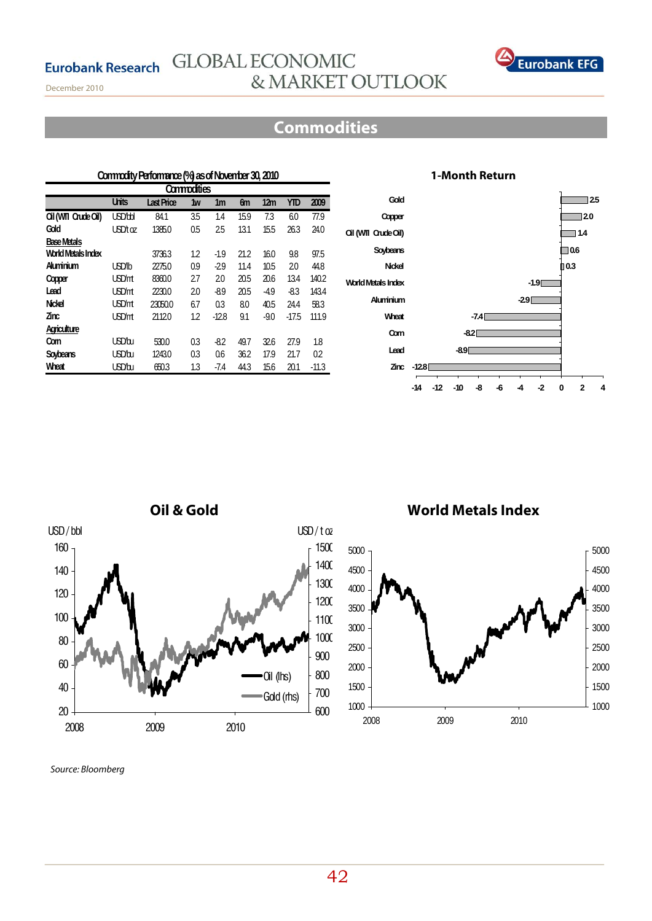![](_page_41_Picture_1.jpeg)

December 2010

# **Commodities**

### **Units Last Price 1w 1m 6m 12m YTD 2009 Oil (WTI Crude Oil)** USD/bbl 84.1 3.5 1.4 15.9 7.3 6.0 77.9 **Gold** USD/t oz 1385.0 0.5 2.5 13.1 15.5 26.3 24.0 **Base Metals World Metals Index** 3736.3 1.2 -1.9 21.2 16.0 9.8 97.5 **Aluminium** USD/lb 2275.0 0.9 -2.9 11.4 10.5 2.0 44.8 **Copper** USD/mt 8360.0 2.7 2.0 20.5 20.6 13.4 140.2 **Lead** USD/mt 2230.0 2.0 -8.9 20.5 -4.9 -8.3 143.4 **Nickel** USD/mt 23050.0 6.7 0.3 8.0 40.5 24.4 58.3 **Zinc** USD/mt 2112.0 1.2 -12.8 9.1 -9.0 -17.5 111.9 **Agriculture Corn** USD/bu 530.0 0.3 -8.2 49.7 32.6 27.9 1.8 **Soybeans** USD/bu 1243.0 0.3 0.6 36.2 17.9 21.7 0.2 **Wheat** USD/bu 650.3 1.3 -7.4 44.3 15.6 20.1 -11.3 **Commodity Performance (%) as of November 30, 2010 Commodities**

## **1-Month Return**

![](_page_41_Figure_6.jpeg)

![](_page_41_Figure_7.jpeg)

![](_page_41_Figure_8.jpeg)

# **World Metals Index**

![](_page_41_Figure_10.jpeg)

Source: Bloomberg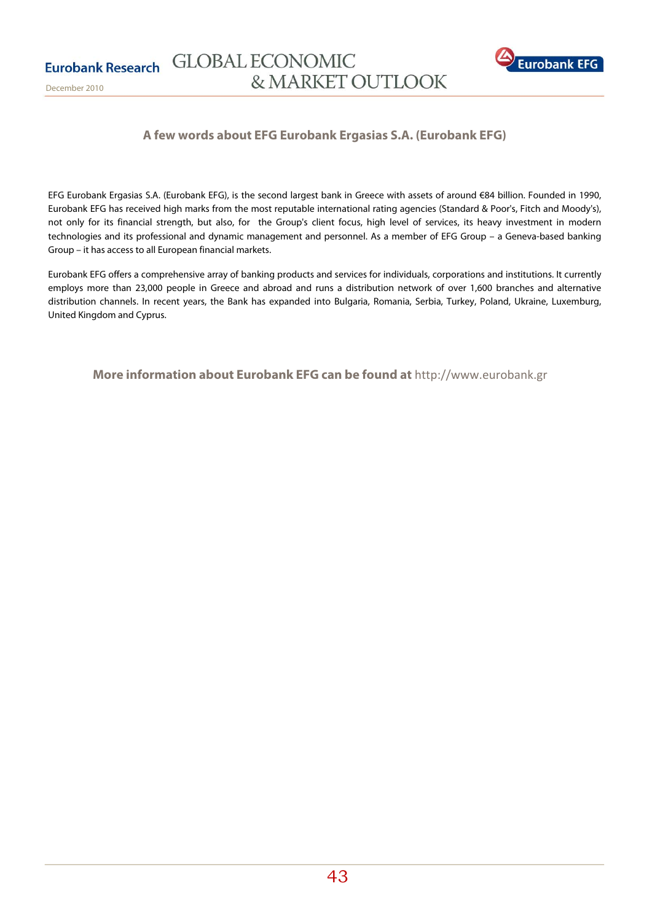![](_page_42_Picture_1.jpeg)

# **A few words about EFG Eurobank Ergasias S.A. (Eurobank EFG)**

EFG Eurobank Ergasias S.A. (Eurobank EFG), is the second largest bank in Greece with assets of around €84 billion. Founded in 1990, Eurobank EFG has received high marks from the most reputable international rating agencies (Standard & Poor's, Fitch and Moody's), not only for its financial strength, but also, for the Group's client focus, high leνel of serνices, its heavy investment in modern technologies and its professional and dynamic management and personnel. As a member of EFG Group – a Geneva-based banking Group – it has access to all European financial markets.

Eurobank EFG offers a comprehensive array of banking products and serνices for individuals, corporations and institutions. It currently employs more than 23,000 people in Greece and abroad and runs a distribution network of over 1,600 branches and alternative distribution channels. In recent years, the Bank has expanded into Bulgaria, Romania, Serbia, Turkey, Poland, Ukraine, Luxemburg, United Kingdom and Cyprus.

 **More information about Eurobank EFG can be found at** http://www.eurobank.gr